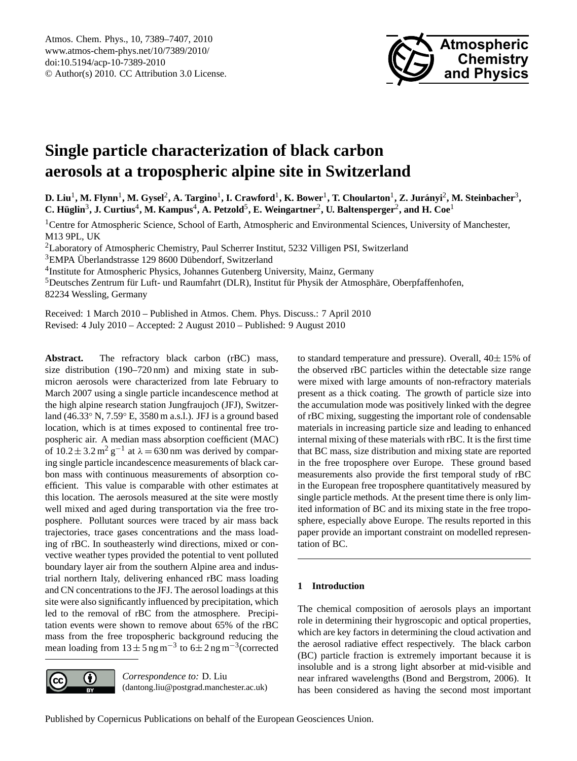

# <span id="page-0-0"></span>**Single particle characterization of black carbon aerosols at a tropospheric alpine site in Switzerland**

 ${\bf D}.$  Liu<sup>1</sup>, M. Flynn<sup>1</sup>, M. Gysel<sup>2</sup>, A. Targino<sup>1</sup>, I. Crawford<sup>1</sup>, K. Bower<sup>1</sup>, T. Choularton<sup>1</sup>, Z. Jurányi<sup>2</sup>, M. Steinbacher<sup>3</sup>,  $C$ . Hüglin<sup>3</sup>, J. Curtius<sup>4</sup>, M. Kampus<sup>4</sup>, A. Petzold<sup>5</sup>, E. Weingartner<sup>2</sup>, U. Baltensperger<sup>2</sup>, and H. Coe<sup>1</sup>

<sup>1</sup>Centre for Atmospheric Science, School of Earth, Atmospheric and Environmental Sciences, University of Manchester, M13 9PL, UK

<sup>2</sup>Laboratory of Atmospheric Chemistry, Paul Scherrer Institut, 5232 Villigen PSI, Switzerland

 $3$ EMPA Überlandstrasse 129 8600 Dübendorf, Switzerland

<sup>4</sup>Institute for Atmospheric Physics, Johannes Gutenberg University, Mainz, Germany

 $5$ Deutsches Zentrum für Luft- und Raumfahrt (DLR), Institut für Physik der Atmosphäre, Oberpfaffenhofen, 82234 Wessling, Germany

Received: 1 March 2010 – Published in Atmos. Chem. Phys. Discuss.: 7 April 2010 Revised: 4 July 2010 – Accepted: 2 August 2010 – Published: 9 August 2010

**Abstract.** The refractory black carbon (rBC) mass, size distribution (190–720 nm) and mixing state in submicron aerosols were characterized from late February to March 2007 using a single particle incandescence method at the high alpine research station Jungfraujoch (JFJ), Switzerland (46.33◦ N, 7.59◦ E, 3580 m a.s.l.). JFJ is a ground based location, which is at times exposed to continental free tropospheric air. A median mass absorption coefficient (MAC) of  $10.2 \pm 3.2$  m<sup>2</sup> g<sup>-1</sup> at  $\lambda = 630$  nm was derived by comparing single particle incandescence measurements of black carbon mass with continuous measurements of absorption coefficient. This value is comparable with other estimates at this location. The aerosols measured at the site were mostly well mixed and aged during transportation via the free troposphere. Pollutant sources were traced by air mass back trajectories, trace gases concentrations and the mass loading of rBC. In southeasterly wind directions, mixed or convective weather types provided the potential to vent polluted boundary layer air from the southern Alpine area and industrial northern Italy, delivering enhanced rBC mass loading and CN concentrations to the JFJ. The aerosol loadings at this site were also significantly influenced by precipitation, which led to the removal of rBC from the atmosphere. Precipitation events were shown to remove about 65% of the rBC mass from the free tropospheric background reducing the mean loading from  $13 \pm 5$  ng m<sup>-3</sup> to  $6 \pm 2$  ng m<sup>-3</sup> (corrected



*Correspondence to:* D. Liu (dantong.liu@postgrad.manchester.ac.uk) to standard temperature and pressure). Overall, 40± 15% of the observed rBC particles within the detectable size range were mixed with large amounts of non-refractory materials present as a thick coating. The growth of particle size into the accumulation mode was positively linked with the degree of rBC mixing, suggesting the important role of condensable materials in increasing particle size and leading to enhanced internal mixing of these materials with rBC. It is the first time that BC mass, size distribution and mixing state are reported in the free troposphere over Europe. These ground based measurements also provide the first temporal study of rBC in the European free troposphere quantitatively measured by single particle methods. At the present time there is only limited information of BC and its mixing state in the free troposphere, especially above Europe. The results reported in this paper provide an important constraint on modelled representation of BC.

# **1 Introduction**

The chemical composition of aerosols plays an important role in determining their hygroscopic and optical properties, which are key factors in determining the cloud activation and the aerosol radiative effect respectively. The black carbon (BC) particle fraction is extremely important because it is insoluble and is a strong light absorber at mid-visible and near infrared wavelengths (Bond and Bergstrom, 2006). It has been considered as having the second most important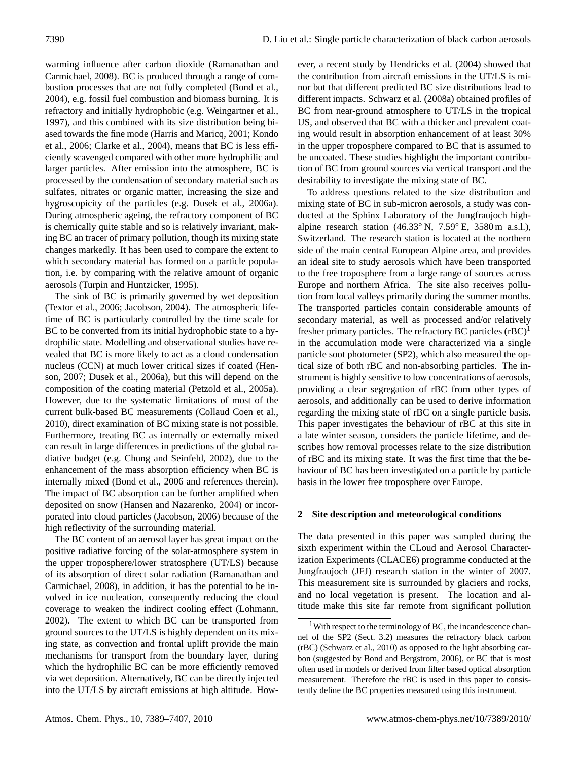warming influence after carbon dioxide (Ramanathan and Carmichael, 2008). BC is produced through a range of combustion processes that are not fully completed (Bond et al., 2004), e.g. fossil fuel combustion and biomass burning. It is refractory and initially hydrophobic (e.g. Weingartner et al., 1997), and this combined with its size distribution being biased towards the fine mode (Harris and Maricq, 2001; Kondo et al., 2006; Clarke et al., 2004), means that BC is less efficiently scavenged compared with other more hydrophilic and larger particles. After emission into the atmosphere, BC is processed by the condensation of secondary material such as sulfates, nitrates or organic matter, increasing the size and hygroscopicity of the particles (e.g. Dusek et al., 2006a). During atmospheric ageing, the refractory component of BC is chemically quite stable and so is relatively invariant, making BC an tracer of primary pollution, though its mixing state changes markedly. It has been used to compare the extent to which secondary material has formed on a particle population, i.e. by comparing with the relative amount of organic aerosols (Turpin and Huntzicker, 1995).

The sink of BC is primarily governed by wet deposition (Textor et al., 2006; Jacobson, 2004). The atmospheric lifetime of BC is particularly controlled by the time scale for BC to be converted from its initial hydrophobic state to a hydrophilic state. Modelling and observational studies have revealed that BC is more likely to act as a cloud condensation nucleus (CCN) at much lower critical sizes if coated (Henson, 2007; Dusek et al., 2006a), but this will depend on the composition of the coating material (Petzold et al., 2005a). However, due to the systematic limitations of most of the current bulk-based BC measurements (Collaud Coen et al., 2010), direct examination of BC mixing state is not possible. Furthermore, treating BC as internally or externally mixed can result in large differences in predictions of the global radiative budget (e.g. Chung and Seinfeld, 2002), due to the enhancement of the mass absorption efficiency when BC is internally mixed (Bond et al., 2006 and references therein). The impact of BC absorption can be further amplified when deposited on snow (Hansen and Nazarenko, 2004) or incorporated into cloud particles (Jacobson, 2006) because of the high reflectivity of the surrounding material.

The BC content of an aerosol layer has great impact on the positive radiative forcing of the solar-atmosphere system in the upper troposphere/lower stratosphere (UT/LS) because of its absorption of direct solar radiation (Ramanathan and Carmichael, 2008), in addition, it has the potential to be involved in ice nucleation, consequently reducing the cloud coverage to weaken the indirect cooling effect (Lohmann, 2002). The extent to which BC can be transported from ground sources to the UT/LS is highly dependent on its mixing state, as convection and frontal uplift provide the main mechanisms for transport from the boundary layer, during which the hydrophilic BC can be more efficiently removed via wet deposition. Alternatively, BC can be directly injected into the UT/LS by aircraft emissions at high altitude. However, a recent study by Hendricks et al. (2004) showed that the contribution from aircraft emissions in the UT/LS is minor but that different predicted BC size distributions lead to different impacts. Schwarz et al. (2008a) obtained profiles of BC from near-ground atmosphere to UT/LS in the tropical US, and observed that BC with a thicker and prevalent coating would result in absorption enhancement of at least 30% in the upper troposphere compared to BC that is assumed to be uncoated. These studies highlight the important contribution of BC from ground sources via vertical transport and the desirability to investigate the mixing state of BC.

To address questions related to the size distribution and mixing state of BC in sub-micron aerosols, a study was conducted at the Sphinx Laboratory of the Jungfraujoch highalpine research station (46.33° N, 7.59° E, 3580 m a.s.l.), Switzerland. The research station is located at the northern side of the main central European Alpine area, and provides an ideal site to study aerosols which have been transported to the free troposphere from a large range of sources across Europe and northern Africa. The site also receives pollution from local valleys primarily during the summer months. The transported particles contain considerable amounts of secondary material, as well as processed and/or relatively fresher primary particles. The refractory BC particles  $(rBC)^1$  $(rBC)^1$ in the accumulation mode were characterized via a single particle soot photometer (SP2), which also measured the optical size of both rBC and non-absorbing particles. The instrument is highly sensitive to low concentrations of aerosols, providing a clear segregation of rBC from other types of aerosols, and additionally can be used to derive information regarding the mixing state of rBC on a single particle basis. This paper investigates the behaviour of rBC at this site in a late winter season, considers the particle lifetime, and describes how removal processes relate to the size distribution of rBC and its mixing state. It was the first time that the behaviour of BC has been investigated on a particle by particle basis in the lower free troposphere over Europe.

## **2 Site description and meteorological conditions**

The data presented in this paper was sampled during the sixth experiment within the CLoud and Aerosol Characterization Experiments (CLACE6) programme conducted at the Jungfraujoch (JFJ) research station in the winter of 2007. This measurement site is surrounded by glaciers and rocks, and no local vegetation is present. The location and altitude make this site far remote from significant pollution

<span id="page-1-0"></span><sup>&</sup>lt;sup>1</sup>With respect to the terminology of BC, the incandescence channel of the SP2 (Sect. 3.2) measures the refractory black carbon (rBC) (Schwarz et al., 2010) as opposed to the light absorbing carbon (suggested by Bond and Bergstrom, 2006), or BC that is most often used in models or derived from filter based optical absorption measurement. Therefore the rBC is used in this paper to consistently define the BC properties measured using this instrument.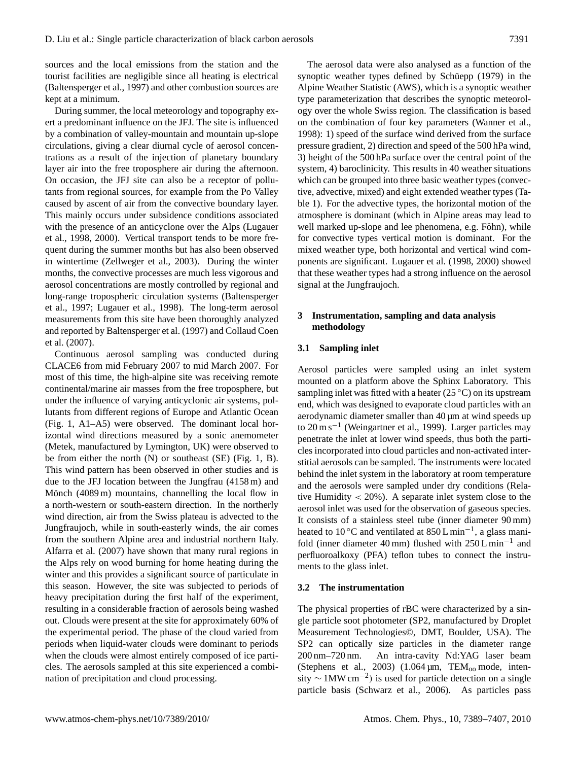sources and the local emissions from the station and the tourist facilities are negligible since all heating is electrical (Baltensperger et al., 1997) and other combustion sources are kept at a minimum.

During summer, the local meteorology and topography exert a predominant influence on the JFJ. The site is influenced by a combination of valley-mountain and mountain up-slope circulations, giving a clear diurnal cycle of aerosol concentrations as a result of the injection of planetary boundary layer air into the free troposphere air during the afternoon. On occasion, the JFJ site can also be a receptor of pollutants from regional sources, for example from the Po Valley caused by ascent of air from the convective boundary layer. This mainly occurs under subsidence conditions associated with the presence of an anticyclone over the Alps (Lugauer et al., 1998, 2000). Vertical transport tends to be more frequent during the summer months but has also been observed in wintertime (Zellweger et al., 2003). During the winter months, the convective processes are much less vigorous and aerosol concentrations are mostly controlled by regional and long-range tropospheric circulation systems (Baltensperger et al., 1997; Lugauer et al., 1998). The long-term aerosol measurements from this site have been thoroughly analyzed and reported by Baltensperger et al. (1997) and Collaud Coen et al. (2007).

Continuous aerosol sampling was conducted during CLACE6 from mid February 2007 to mid March 2007. For most of this time, the high-alpine site was receiving remote continental/marine air masses from the free troposphere, but under the influence of varying anticyclonic air systems, pollutants from different regions of Europe and Atlantic Ocean (Fig. 1, A1–A5) were observed. The dominant local horizontal wind directions measured by a sonic anemometer (Metek, manufactured by Lymington, UK) were observed to be from either the north (N) or southeast (SE) (Fig. 1, B). This wind pattern has been observed in other studies and is due to the JFJ location between the Jungfrau (4158 m) and Mönch  $(4089 \text{ m})$  mountains, channelling the local flow in a north-western or south-eastern direction. In the northerly wind direction, air from the Swiss plateau is advected to the Jungfraujoch, while in south-easterly winds, the air comes from the southern Alpine area and industrial northern Italy. Alfarra et al. (2007) have shown that many rural regions in the Alps rely on wood burning for home heating during the winter and this provides a significant source of particulate in this season. However, the site was subjected to periods of heavy precipitation during the first half of the experiment, resulting in a considerable fraction of aerosols being washed out. Clouds were present at the site for approximately 60% of the experimental period. The phase of the cloud varied from periods when liquid-water clouds were dominant to periods when the clouds were almost entirely composed of ice particles. The aerosols sampled at this site experienced a combination of precipitation and cloud processing.

The aerosol data were also analysed as a function of the synoptic weather types defined by Schüepp (1979) in the Alpine Weather Statistic (AWS), which is a synoptic weather type parameterization that describes the synoptic meteorology over the whole Swiss region. The classification is based on the combination of four key parameters (Wanner et al., 1998): 1) speed of the surface wind derived from the surface pressure gradient, 2) direction and speed of the 500 hPa wind, 3) height of the 500 hPa surface over the central point of the system, 4) baroclinicity. This results in 40 weather situations which can be grouped into three basic weather types (convective, advective, mixed) and eight extended weather types (Table 1). For the advective types, the horizontal motion of the atmosphere is dominant (which in Alpine areas may lead to well marked up-slope and lee phenomena, e.g. Föhn), while for convective types vertical motion is dominant. For the mixed weather type, both horizontal and vertical wind components are significant. Lugauer et al. (1998, 2000) showed that these weather types had a strong influence on the aerosol signal at the Jungfraujoch.

# **3 Instrumentation, sampling and data analysis methodology**

#### **3.1 Sampling inlet**

Aerosol particles were sampled using an inlet system mounted on a platform above the Sphinx Laboratory. This sampling inlet was fitted with a heater ( $25^{\circ}$ C) on its upstream end, which was designed to evaporate cloud particles with an aerodynamic diameter smaller than 40  $\mu$ m at wind speeds up to 20 m s−<sup>1</sup> (Weingartner et al., 1999). Larger particles may penetrate the inlet at lower wind speeds, thus both the particles incorporated into cloud particles and non-activated interstitial aerosols can be sampled. The instruments were located behind the inlet system in the laboratory at room temperature and the aerosols were sampled under dry conditions (Relative Humidity  $<$  20%). A separate inlet system close to the aerosol inlet was used for the observation of gaseous species. It consists of a stainless steel tube (inner diameter 90 mm) heated to 10 °C and ventilated at  $850 \text{ L min}^{-1}$ , a glass manifold (inner diameter 40 mm) flushed with  $250$  L min<sup>-1</sup> and perfluoroalkoxy (PFA) teflon tubes to connect the instruments to the glass inlet.

#### **3.2 The instrumentation**

The physical properties of rBC were characterized by a single particle soot photometer (SP2, manufactured by Droplet Measurement Technologies©, DMT, Boulder, USA). The SP2 can optically size particles in the diameter range 200 nm–720 nm. An intra-cavity Nd:YAG laser beam (Stephens et al., 2003)  $(1.064 \,\mu m, \text{TEM}_{00})$  mode, intensity  $\sim$  1MW cm<sup>-2</sup>) is used for particle detection on a single particle basis (Schwarz et al., 2006). As particles pass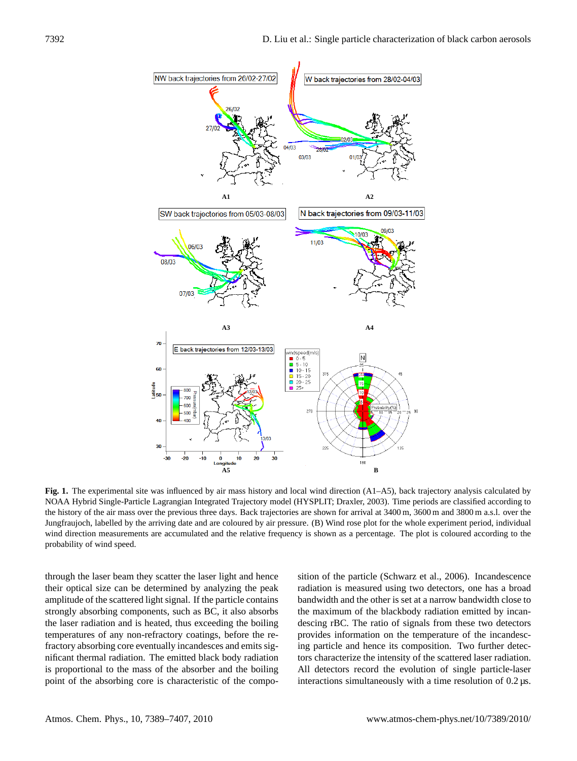

**Fig. 1. Fig. 1.** The experimental site was influenced by air mass history and local wind direction (A1–A5), back trajectory analysis calculated by NOAA Hybrid Single-Particle Lagrangian Integrated Trajectory model (HYSPLIT; Draxler, 2003). Time periods are classified according to the history of the air mass over the previous three days. Back trajectories are shown for arrival at 3400 m, 3600 m and 3800 m a.s.l. over the Jungfraujoch, labelled by the arriving date and are coloured by air pressure. (B) Wind rose plot for the whole experiment period, individual wind direction measurements are accumulated and the relative frequency is shown as a percentage. The plot is coloured according to the probability of wind speed.

through the laser beam they scatter the laser light and hence their optical size can be determined by analyzing the peak amplitude of the scattered light signal. If the particle contains strongly absorbing components, such as BC, it also absorbs the laser radiation and is heated, thus exceeding the boiling temperatures of any non-refractory coatings, before the refractory absorbing core eventually incandesces and emits significant thermal radiation. The emitted black body radiation is proportional to the mass of the absorber and the boiling point of the absorbing core is characteristic of the composition of the particle (Schwarz et al., 2006). Incandescence radiation is measured using two detectors, one has a broad bandwidth and the other is set at a narrow bandwidth close to the maximum of the blackbody radiation emitted by incandescing rBC. The ratio of signals from these two detectors provides information on the temperature of the incandescing particle and hence its composition. Two further detectors characterize the intensity of the scattered laser radiation. All detectors record the evolution of single particle-laser interactions simultaneously with a time resolution of  $0.2 \mu s$ .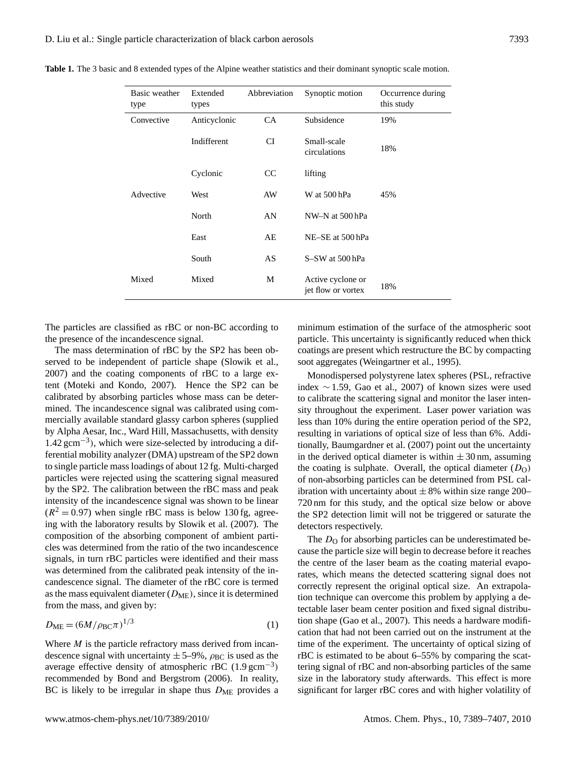| Basic weather<br>type | Extended<br>types | Abbreviation | Synoptic motion                         | Occurrence during<br>this study |
|-----------------------|-------------------|--------------|-----------------------------------------|---------------------------------|
| Convective            | Anticyclonic      | CA           | Subsidence                              | 19%                             |
|                       | Indifferent       | CI           | Small-scale<br>circulations             | 18%                             |
|                       | Cyclonic          | <b>CC</b>    | lifting                                 |                                 |
| Advective             | West              | AW           | W at 500 hPa                            | 45%                             |
|                       | North             | AN           | NW-N at 500 hPa                         |                                 |
|                       | East              | AЕ           | NE-SE at 500 hPa                        |                                 |
|                       | South             | AS           | S-SW at 500 hPa                         |                                 |
| Mixed                 | Mixed             | М            | Active cyclone or<br>jet flow or vortex | 18%                             |

**Table 1.** The 3 basic and 8 extended types of the Alpine weather statistics and their dominant synoptic scale motion.

The particles are classified as rBC or non-BC according to the presence of the incandescence signal.

The mass determination of rBC by the SP2 has been observed to be independent of particle shape (Slowik et al., 2007) and the coating components of rBC to a large extent (Moteki and Kondo, 2007). Hence the SP2 can be calibrated by absorbing particles whose mass can be determined. The incandescence signal was calibrated using commercially available standard glassy carbon spheres (supplied by Alpha Aesar, Inc., Ward Hill, Massachusetts, with density 1.42 gcm−<sup>3</sup> ), which were size-selected by introducing a differential mobility analyzer (DMA) upstream of the SP2 down to single particle mass loadings of about 12 fg. Multi-charged particles were rejected using the scattering signal measured by the SP2. The calibration between the rBC mass and peak intensity of the incandescence signal was shown to be linear  $(R<sup>2</sup> = 0.97)$  when single rBC mass is below 130 fg, agreeing with the laboratory results by Slowik et al. (2007). The composition of the absorbing component of ambient particles was determined from the ratio of the two incandescence signals, in turn rBC particles were identified and their mass was determined from the calibrated peak intensity of the incandescence signal. The diameter of the rBC core is termed as the mass equivalent diameter  $(D<sub>ME</sub>)$ , since it is determined from the mass, and given by:

$$
D_{\rm ME} = (6M/\rho_{\rm BC}\pi)^{1/3} \tag{1}
$$

Where *M* is the particle refractory mass derived from incandescence signal with uncertainty  $\pm$  5–9%,  $\rho_{BC}$  is used as the average effective density of atmospheric rBC  $(1.9 \text{ gcm}^{-3})$ recommended by Bond and Bergstrom (2006). In reality, BC is likely to be irregular in shape thus  $D<sub>ME</sub>$  provides a minimum estimation of the surface of the atmospheric soot particle. This uncertainty is significantly reduced when thick coatings are present which restructure the BC by compacting soot aggregates (Weingartner et al., 1995).

Monodispersed polystyrene latex spheres (PSL, refractive index ∼ 1.59, Gao et al., 2007) of known sizes were used to calibrate the scattering signal and monitor the laser intensity throughout the experiment. Laser power variation was less than 10% during the entire operation period of the SP2, resulting in variations of optical size of less than 6%. Additionally, Baumgardner et al. (2007) point out the uncertainty in the derived optical diameter is within  $\pm 30$  nm, assuming the coating is sulphate. Overall, the optical diameter  $(D<sub>O</sub>)$ of non-absorbing particles can be determined from PSL calibration with uncertainty about  $\pm 8\%$  within size range 200– 720 nm for this study, and the optical size below or above the SP2 detection limit will not be triggered or saturate the detectors respectively.

The  $D_{\rm O}$  for absorbing particles can be underestimated because the particle size will begin to decrease before it reaches the centre of the laser beam as the coating material evaporates, which means the detected scattering signal does not correctly represent the original optical size. An extrapolation technique can overcome this problem by applying a detectable laser beam center position and fixed signal distribution shape (Gao et al., 2007). This needs a hardware modification that had not been carried out on the instrument at the time of the experiment. The uncertainty of optical sizing of rBC is estimated to be about 6–55% by comparing the scattering signal of rBC and non-absorbing particles of the same size in the laboratory study afterwards. This effect is more significant for larger rBC cores and with higher volatility of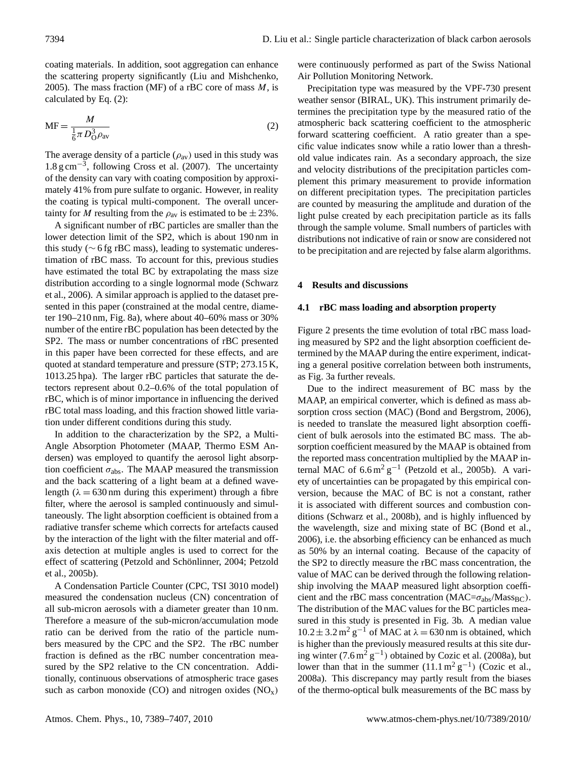coating materials. In addition, soot aggregation can enhance the scattering property significantly (Liu and Mishchenko, 2005). The mass fraction (MF) of a rBC core of mass  $M$ , is calculated by Eq. (2):

$$
MF = \frac{M}{\frac{1}{6}\pi D_0^3 \rho_{av}}
$$
 (2)

The average density of a particle  $(\rho_{av})$  used in this study was 1.8 g cm−<sup>3</sup> , following Cross et al. (2007). The uncertainty of the density can vary with coating composition by approximately 41% from pure sulfate to organic. However, in reality the coating is typical multi-component. The overall uncertainty for M resulting from the  $\rho_{av}$  is estimated to be  $\pm 23\%$ .

A significant number of rBC particles are smaller than the lower detection limit of the SP2, which is about 190 nm in this study (∼ 6 fg rBC mass), leading to systematic underestimation of rBC mass. To account for this, previous studies have estimated the total BC by extrapolating the mass size distribution according to a single lognormal mode (Schwarz et al., 2006). A similar approach is applied to the dataset presented in this paper (constrained at the modal centre, diameter 190–210 nm, Fig. 8a), where about 40–60% mass or 30% number of the entire rBC population has been detected by the SP2. The mass or number concentrations of rBC presented in this paper have been corrected for these effects, and are quoted at standard temperature and pressure (STP; 273.15 K, 1013.25 hpa). The larger rBC particles that saturate the detectors represent about 0.2–0.6% of the total population of rBC, which is of minor importance in influencing the derived rBC total mass loading, and this fraction showed little variation under different conditions during this study.

In addition to the characterization by the SP2, a Multi-Angle Absorption Photometer (MAAP, Thermo ESM Andersen) was employed to quantify the aerosol light absorption coefficient  $\sigma_{\text{abs}}$ . The MAAP measured the transmission and the back scattering of a light beam at a defined wavelength ( $\lambda = 630$  nm during this experiment) through a fibre filter, where the aerosol is sampled continuously and simultaneously. The light absorption coefficient is obtained from a radiative transfer scheme which corrects for artefacts caused by the interaction of the light with the filter material and offaxis detection at multiple angles is used to correct for the effect of scattering (Petzold and Schönlinner, 2004; Petzold et al., 2005b).

A Condensation Particle Counter (CPC, TSI 3010 model) measured the condensation nucleus (CN) concentration of all sub-micron aerosols with a diameter greater than 10 nm. Therefore a measure of the sub-micron/accumulation mode ratio can be derived from the ratio of the particle numbers measured by the CPC and the SP2. The rBC number fraction is defined as the rBC number concentration measured by the SP2 relative to the CN concentration. Additionally, continuous observations of atmospheric trace gases such as carbon monoxide (CO) and nitrogen oxides  $(NO<sub>x</sub>)$  were continuously performed as part of the Swiss National Air Pollution Monitoring Network.

Precipitation type was measured by the VPF-730 present weather sensor (BIRAL, UK). This instrument primarily determines the precipitation type by the measured ratio of the atmospheric back scattering coefficient to the atmospheric forward scattering coefficient. A ratio greater than a specific value indicates snow while a ratio lower than a threshold value indicates rain. As a secondary approach, the size and velocity distributions of the precipitation particles complement this primary measurement to provide information on different precipitation types. The precipitation particles are counted by measuring the amplitude and duration of the light pulse created by each precipitation particle as its falls through the sample volume. Small numbers of particles with distributions not indicative of rain or snow are considered not to be precipitation and are rejected by false alarm algorithms.

#### **4 Results and discussions**

## **4.1 rBC mass loading and absorption property**

Figure 2 presents the time evolution of total rBC mass loading measured by SP2 and the light absorption coefficient determined by the MAAP during the entire experiment, indicating a general positive correlation between both instruments, as Fig. 3a further reveals.

Due to the indirect measurement of BC mass by the MAAP, an empirical converter, which is defined as mass absorption cross section (MAC) (Bond and Bergstrom, 2006), is needed to translate the measured light absorption coefficient of bulk aerosols into the estimated BC mass. The absorption coefficient measured by the MAAP is obtained from the reported mass concentration multiplied by the MAAP internal MAC of  $6.6 \text{ m}^2 \text{ g}^{-1}$  (Petzold et al., 2005b). A variety of uncertainties can be propagated by this empirical conversion, because the MAC of BC is not a constant, rather it is associated with different sources and combustion conditions (Schwarz et al., 2008b), and is highly influenced by the wavelength, size and mixing state of BC (Bond et al., 2006), i.e. the absorbing efficiency can be enhanced as much as 50% by an internal coating. Because of the capacity of the SP2 to directly measure the rBC mass concentration, the value of MAC can be derived through the following relationship involving the MAAP measured light absorption coefficient and the rBC mass concentration ( $MAC = \sigma_{abs}/Mass_{BC}$ ). The distribution of the MAC values for the BC particles measured in this study is presented in Fig. 3b. A median value  $10.2 \pm 3.2$  m<sup>2</sup> g<sup>-1</sup> of MAC at  $\lambda = 630$  nm is obtained, which is higher than the previously measured results at this site during winter (7.6 m<sup>2</sup> g<sup>-1</sup>) obtained by Cozic et al. (2008a), but lower than that in the summer  $(11.1 \text{ m}^2 \text{ g}^{-1})$  (Cozic et al., 2008a). This discrepancy may partly result from the biases of the thermo-optical bulk measurements of the BC mass by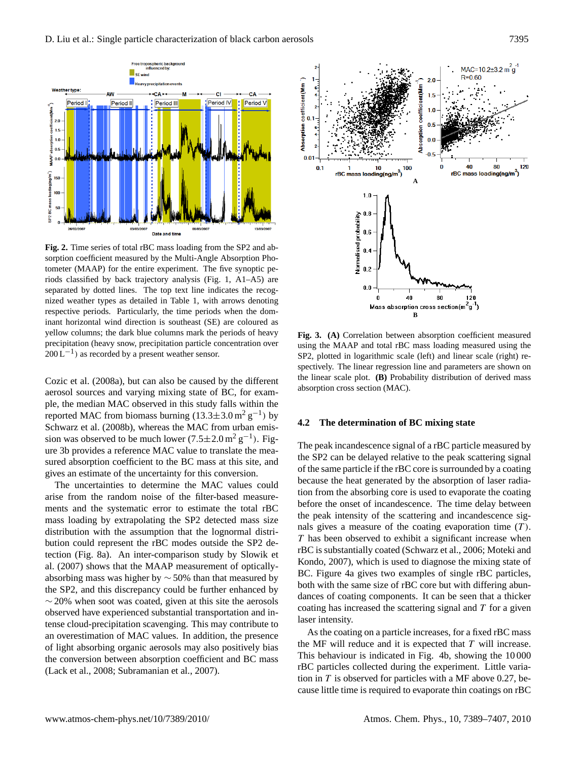

**Fig. 2.** Time series of total rBC mass loading from the SP2 and absorption coefficient measured by the Multi-Angle Absorption Photometer (MAAP) for the entire experiment. The five synoptic periods classified by back trajectory analysis (Fig. 1, A1–A5) are separated by dotted lines. The top text line indicates the recognized weather types as detailed in Table 1, with arrows denoting respective periods. Particularly, the time periods when the dominant horizontal wind direction is southeast (SE) are coloured as yellow columns; the dark blue columns mark the periods of heavy precipitation (heavy snow, precipitation particle concentration over  $200 \, \text{L}^{-1}$ ) as recorded by a present weather sensor.

Cozic et al. (2008a), but can also be caused by the different aerosol sources and varying mixing state of BC, for example, the median MAC observed in this study falls within the reported MAC from biomass burning  $(13.3 \pm 3.0 \,\text{m}^2 \,\text{g}^{-1})$  by Schwarz et al. (2008b), whereas the MAC from urban emission was observed to be much lower  $(7.5 \pm 2.0 \,\text{m}^2 \,\text{g}^{-1})$ . Figure 3b provides a reference MAC value to translate the measured absorption coefficient to the BC mass at this site, and gives an estimate of the uncertainty for this conversion.

The uncertainties to determine the MAC values could arise from the random noise of the filter-based measurements and the systematic error to estimate the total rBC mass loading by extrapolating the SP2 detected mass size distribution with the assumption that the lognormal distribution could represent the rBC modes outside the SP2 detection (Fig. 8a). An inter-comparison study by Slowik et al. (2007) shows that the MAAP measurement of opticallyabsorbing mass was higher by ∼ 50% than that measured by the SP2, and this discrepancy could be further enhanced by  $\sim$  20% when soot was coated, given at this site the aerosols observed have experienced substantial transportation and intense cloud-precipitation scavenging. This may contribute to an overestimation of MAC values. In addition, the presence of light absorbing organic aerosols may also positively bias the conversion between absorption coefficient and BC mass (Lack et al., 2008; Subramanian et al., 2007).



**Fig. 3 Fig. 3. (A)** Correlation between absorption coefficient measured using the MAAP and total rBC mass loading measured using the SP2, plotted in logarithmic scale (left) and linear scale (right) respectively. The linear regression line and parameters are shown on the linear scale plot. **(B)** Probability distribution of derived mass absorption cross section (MAC).

## **4.2 The determination of BC mixing state**

The peak incandescence signal of a rBC particle measured by the SP2 can be delayed relative to the peak scattering signal of the same particle if the rBC core is surrounded by a coating because the heat generated by the absorption of laser radiation from the absorbing core is used to evaporate the coating before the onset of incandescence. The time delay between the peak intensity of the scattering and incandescence signals gives a measure of the coating evaporation time  $(T)$ . T has been observed to exhibit a significant increase when rBC is substantially coated (Schwarz et al., 2006; Moteki and Kondo, 2007), which is used to diagnose the mixing state of BC. Figure 4a gives two examples of single rBC particles, both with the same size of rBC core but with differing abundances of coating components. It can be seen that a thicker coating has increased the scattering signal and  $T$  for a given laser intensity.

As the coating on a particle increases, for a fixed rBC mass the MF will reduce and it is expected that  $T$  will increase. This behaviour is indicated in Fig. 4b, showing the 10 000 rBC particles collected during the experiment. Little variation in  $T$  is observed for particles with a MF above 0.27, because little time is required to evaporate thin coatings on rBC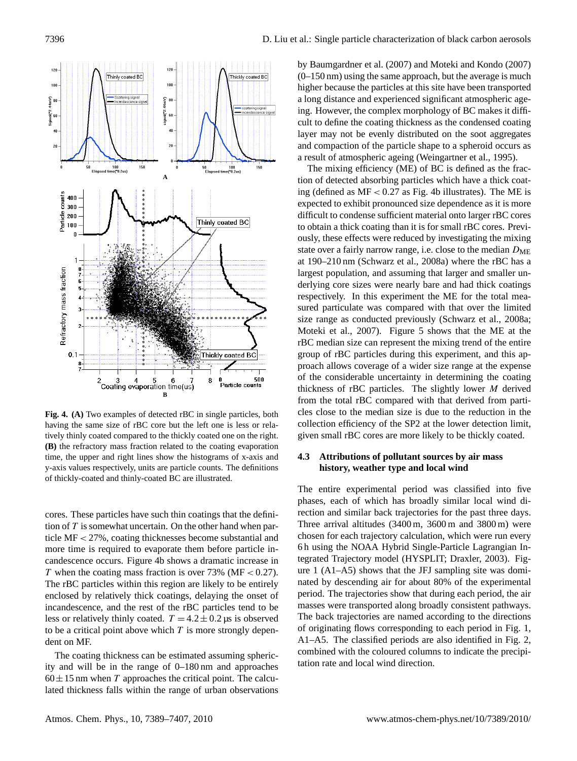

**Fig. 4. (A)** Two examples of detected rBC in single particles, both having the same size of rBC core but the left one is less or relatively thinly coated compared to the thickly coated one on the right. **(B)** the refractory mass fraction related to the coating evaporation time, the upper and right lines show the histograms of x-axis and y-axis values respectively, units are particle counts. The definitions of thickly-coated and thinly-coated BC are illustrated.

cores. These particles have such thin coatings that the definition of  $T$  is somewhat uncertain. On the other hand when particle MF < 27%, coating thicknesses become substantial and more time is required to evaporate them before particle incandescence occurs. Figure 4b shows a dramatic increase in T when the coating mass fraction is over 73% (MF  $< 0.27$ ). The rBC particles within this region are likely to be entirely enclosed by relatively thick coatings, delaying the onset of incandescence, and the rest of the rBC particles tend to be less or relatively thinly coated.  $T = 4.2 \pm 0.2 \,\mu s$  is observed to be a critical point above which  $T$  is more strongly dependent on MF.

The coating thickness can be estimated assuming sphericity and will be in the range of 0–180 nm and approaches  $60 \pm 15$  nm when T approaches the critical point. The calculated thickness falls within the range of urban observations by Baumgardner et al. (2007) and Moteki and Kondo (2007)  $(0-150 \text{ nm})$  using the same approach, but the average is much higher because the particles at this site have been transported a long distance and experienced significant atmospheric ageing. However, the complex morphology of BC makes it difficult to define the coating thickness as the condensed coating layer may not be evenly distributed on the soot aggregates and compaction of the particle shape to a spheroid occurs as a result of atmospheric ageing (Weingartner et al., 1995).

The mixing efficiency (ME) of BC is defined as the fraction of detected absorbing particles which have a thick coating (defined as  $MF < 0.27$  as Fig. 4b illustrates). The ME is expected to exhibit pronounced size dependence as it is more difficult to condense sufficient material onto larger rBC cores to obtain a thick coating than it is for small rBC cores. Previously, these effects were reduced by investigating the mixing state over a fairly narrow range, i.e. close to the median  $D<sub>ME</sub>$ at 190–210 nm (Schwarz et al., 2008a) where the rBC has a largest population, and assuming that larger and smaller underlying core sizes were nearly bare and had thick coatings respectively. In this experiment the ME for the total measured particulate was compared with that over the limited size range as conducted previously (Schwarz et al., 2008a; Moteki et al., 2007). Figure 5 shows that the ME at the rBC median size can represent the mixing trend of the entire group of rBC particles during this experiment, and this approach allows coverage of a wider size range at the expense of the considerable uncertainty in determining the coating thickness of rBC particles. The slightly lower  $M$  derived from the total rBC compared with that derived from particles close to the median size is due to the reduction in the collection efficiency of the SP2 at the lower detection limit, given small rBC cores are more likely to be thickly coated.

## **4.3 Attributions of pollutant sources by air mass history, weather type and local wind**

The entire experimental period was classified into five phases, each of which has broadly similar local wind direction and similar back trajectories for the past three days. Three arrival altitudes (3400 m, 3600 m and 3800 m) were chosen for each trajectory calculation, which were run every 6 h using the NOAA Hybrid Single-Particle Lagrangian Integrated Trajectory model (HYSPLIT; Draxler, 2003). Figure 1 (A1–A5) shows that the JFJ sampling site was dominated by descending air for about 80% of the experimental period. The trajectories show that during each period, the air masses were transported along broadly consistent pathways. The back trajectories are named according to the directions of originating flows corresponding to each period in Fig. 1, A1–A5. The classified periods are also identified in Fig. 2, combined with the coloured columns to indicate the precipitation rate and local wind direction.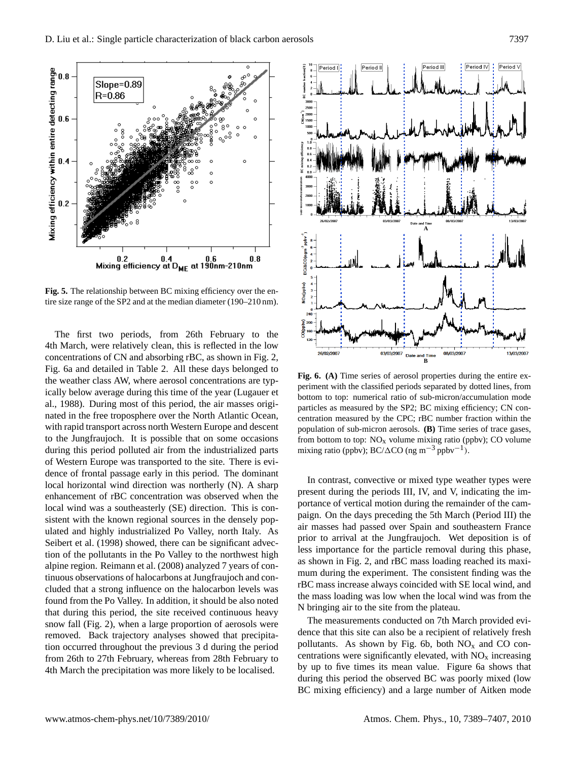

**Fig. 5. Fig. 5.** The relationship between BC mixing efficiency over the entire size range of the SP2 and at the median diameter (190–210 nm).

The first two periods, from 26th February to the 4th March, were relatively clean, this is reflected in the low concentrations of CN and absorbing rBC, as shown in Fig. 2, Fig. 6a and detailed in Table 2. All these days belonged to the weather class AW, where aerosol concentrations are typically below average during this time of the year (Lugauer et al., 1988). During most of this period, the air masses originated in the free troposphere over the North Atlantic Ocean, with rapid transport across north Western Europe and descent to the Jungfraujoch. It is possible that on some occasions during this period polluted air from the industrialized parts of Western Europe was transported to the site. There is evidence of frontal passage early in this period. The dominant local horizontal wind direction was northerly (N). A sharp enhancement of rBC concentration was observed when the local wind was a southeasterly (SE) direction. This is consistent with the known regional sources in the densely populated and highly industrialized Po Valley, north Italy. As Seibert et al. (1998) showed, there can be significant advection of the pollutants in the Po Valley to the northwest high alpine region. Reimann et al. (2008) analyzed 7 years of continuous observations of halocarbons at Jungfraujoch and concluded that a strong influence on the halocarbon levels was found from the Po Valley. In addition, it should be also noted that during this period, the site received continuous heavy snow fall (Fig. 2), when a large proportion of aerosols were removed. Back trajectory analyses showed that precipitation occurred throughout the previous 3 d during the period from 26th to 27th February, whereas from 28th February to 4th March the precipitation was more likely to be localised.



**Fig. 6.** (A) Time series of aerosol properties during the entire experiment with the classified periods separated by dotted lines, from bottom to top: numerical ratio of sub-micron/accumulation mode particles as measured by the SP2; BC mixing efficiency; CN concentration measured by the CPC; rBC number fraction within the population of sub-micron aerosols. **(B)** Time series of trace gases, from bottom to top:  $NO<sub>x</sub>$  volume mixing ratio (ppbv); CO volume mixing ratio (ppbv); BC/ $\Delta$ CO (ng m<sup>-3</sup> ppbv<sup>-1</sup>).

In contrast, convective or mixed type weather types were present during the periods III, IV, and V, indicating the importance of vertical motion during the remainder of the campaign. On the days preceding the 5th March (Period III) the air masses had passed over Spain and southeastern France prior to arrival at the Jungfraujoch. Wet deposition is of less importance for the particle removal during this phase, as shown in Fig. 2, and rBC mass loading reached its maximum during the experiment. The consistent finding was the rBC mass increase always coincided with SE local wind, and the mass loading was low when the local wind was from the N bringing air to the site from the plateau.

The measurements conducted on 7th March provided evidence that this site can also be a recipient of relatively fresh pollutants. As shown by Fig. 6b, both  $NO<sub>x</sub>$  and CO concentrations were significantly elevated, with  $NO<sub>x</sub>$  increasing by up to five times its mean value. Figure 6a shows that during this period the observed BC was poorly mixed (low BC mixing efficiency) and a large number of Aitken mode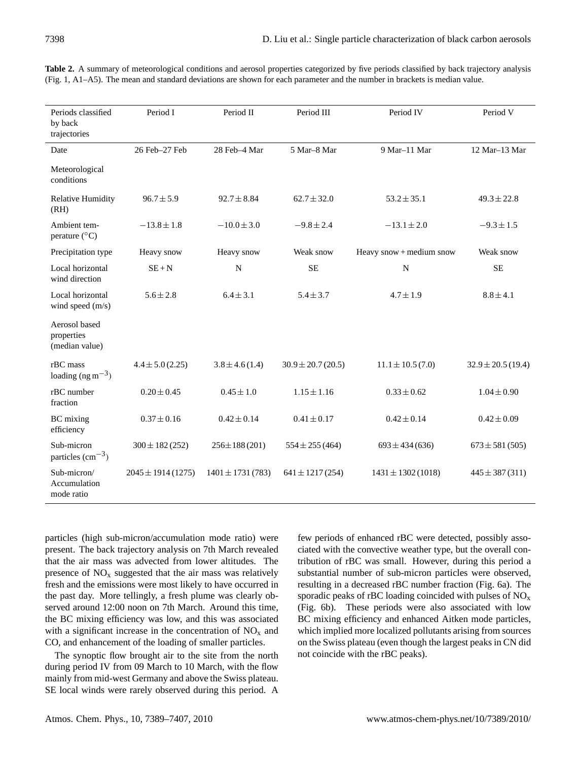| Periods classified<br>by back<br>trajectories | Period I              | Period II            | Period III            | Period IV                | Period V               |  |  |
|-----------------------------------------------|-----------------------|----------------------|-----------------------|--------------------------|------------------------|--|--|
| Date                                          | 26 Feb-27 Feb         | 28 Feb-4 Mar         | 5 Mar-8 Mar           | 9 Mar-11 Mar             | 12 Mar-13 Mar          |  |  |
| Meteorological<br>conditions                  |                       |                      |                       |                          |                        |  |  |
| <b>Relative Humidity</b><br>(RH)              | $96.7 \pm 5.9$        | $92.7 \pm 8.84$      | $62.7 \pm 32.0$       | $53.2 \pm 35.1$          | $49.3 \pm 22.8$        |  |  |
| Ambient tem-<br>perature $(^{\circ}C)$        | $-13.8 \pm 1.8$       | $-10.0 \pm 3.0$      | $-9.8 \pm 2.4$        | $-13.1 \pm 2.0$          | $-9.3 \pm 1.5$         |  |  |
| Precipitation type                            | Heavy snow            | Heavy snow           | Weak snow             | Heavy snow + medium snow | Weak snow              |  |  |
| Local horizontal<br>wind direction            | $SE + N$              | ${\bf N}$            | <b>SE</b>             | $\mathbf N$              | <b>SE</b>              |  |  |
| Local horizontal<br>wind speed (m/s)          | $5.6 \pm 2.8$         | $6.4 \pm 3.1$        | $5.4 \pm 3.7$         | $4.7 \pm 1.9$            | $8.8 \pm 4.1$          |  |  |
| Aerosol based<br>properties<br>(median value) |                       |                      |                       |                          |                        |  |  |
| rBC mass<br>loading $(ng m^{-3})$             | $4.4 \pm 5.0$ (2.25)  | $3.8 \pm 4.6$ (1.4)  | $30.9 \pm 20.7(20.5)$ | $11.1 \pm 10.5(7.0)$     | $32.9 \pm 20.5$ (19.4) |  |  |
| rBC number<br>fraction                        | $0.20 \pm 0.45$       | $0.45 \pm 1.0$       | $1.15 \pm 1.16$       | $0.33 \pm 0.62$          | $1.04 \pm 0.90$        |  |  |
| <b>BC</b> mixing<br>efficiency                | $0.37 \pm 0.16$       | $0.42 \pm 0.14$      | $0.41 \pm 0.17$       | $0.42 \pm 0.14$          | $0.42 \pm 0.09$        |  |  |
| Sub-micron<br>particles $\text{cm}^{-3}$ )    | $300 \pm 182(252)$    | $256 \pm 188(201)$   | $554 \pm 255(464)$    | $693 \pm 434(636)$       | $673 \pm 581(505)$     |  |  |
| Sub-micron/<br>Accumulation<br>mode ratio     | $2045 \pm 1914(1275)$ | $1401 \pm 1731(783)$ | $641 \pm 1217(254)$   | $1431 \pm 1302$ (1018)   | $445 \pm 387(311)$     |  |  |

**Table 2.** A summary of meteorological conditions and aerosol properties categorized by five periods classified by back trajectory analysis (Fig. 1, A1–A5). The mean and standard deviations are shown for each parameter and the number in brackets is median value.

particles (high sub-micron/accumulation mode ratio) were present. The back trajectory analysis on 7th March revealed that the air mass was advected from lower altitudes. The presence of  $NO<sub>x</sub>$  suggested that the air mass was relatively fresh and the emissions were most likely to have occurred in the past day. More tellingly, a fresh plume was clearly observed around 12:00 noon on 7th March. Around this time, the BC mixing efficiency was low, and this was associated with a significant increase in the concentration of  $NO<sub>x</sub>$  and CO, and enhancement of the loading of smaller particles.

The synoptic flow brought air to the site from the north during period IV from 09 March to 10 March, with the flow mainly from mid-west Germany and above the Swiss plateau. SE local winds were rarely observed during this period. A few periods of enhanced rBC were detected, possibly associated with the convective weather type, but the overall contribution of rBC was small. However, during this period a substantial number of sub-micron particles were observed, resulting in a decreased rBC number fraction (Fig. 6a). The sporadic peaks of rBC loading coincided with pulses of  $NO<sub>x</sub>$ (Fig. 6b). These periods were also associated with low BC mixing efficiency and enhanced Aitken mode particles, which implied more localized pollutants arising from sources on the Swiss plateau (even though the largest peaks in CN did not coincide with the rBC peaks).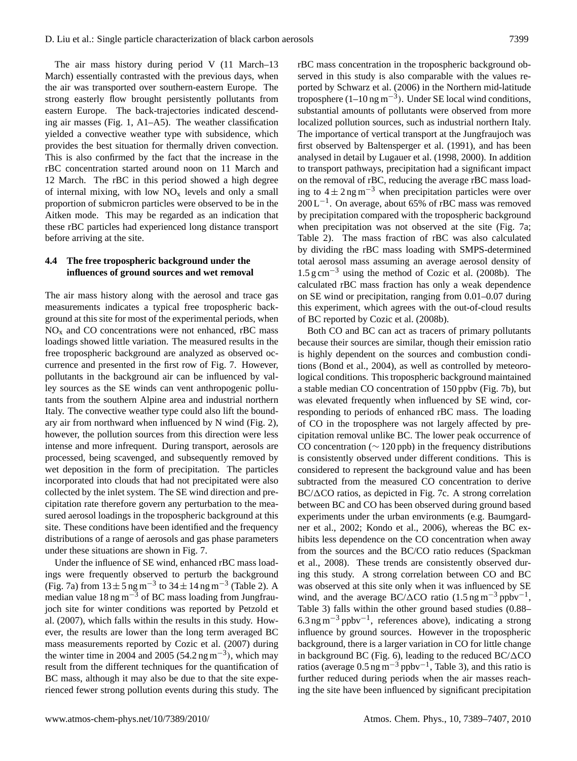The air mass history during period V (11 March–13 March) essentially contrasted with the previous days, when the air was transported over southern-eastern Europe. The strong easterly flow brought persistently pollutants from eastern Europe. The back-trajectories indicated descending air masses (Fig. 1, A1–A5). The weather classification yielded a convective weather type with subsidence, which provides the best situation for thermally driven convection. This is also confirmed by the fact that the increase in the rBC concentration started around noon on 11 March and 12 March. The rBC in this period showed a high degree of internal mixing, with low  $NO<sub>x</sub>$  levels and only a small proportion of submicron particles were observed to be in the Aitken mode. This may be regarded as an indication that these rBC particles had experienced long distance transport before arriving at the site.

## **4.4 The free tropospheric background under the influences of ground sources and wet removal**

The air mass history along with the aerosol and trace gas measurements indicates a typical free tropospheric background at this site for most of the experimental periods, when  $NO<sub>x</sub>$  and CO concentrations were not enhanced, rBC mass loadings showed little variation. The measured results in the free tropospheric background are analyzed as observed occurrence and presented in the first row of Fig. 7. However, pollutants in the background air can be influenced by valley sources as the SE winds can vent anthropogenic pollutants from the southern Alpine area and industrial northern Italy. The convective weather type could also lift the boundary air from northward when influenced by N wind (Fig. 2), however, the pollution sources from this direction were less intense and more infrequent. During transport, aerosols are processed, being scavenged, and subsequently removed by wet deposition in the form of precipitation. The particles incorporated into clouds that had not precipitated were also collected by the inlet system. The SE wind direction and precipitation rate therefore govern any perturbation to the measured aerosol loadings in the tropospheric background at this site. These conditions have been identified and the frequency distributions of a range of aerosols and gas phase parameters under these situations are shown in Fig. 7.

Under the influence of SE wind, enhanced rBC mass loadings were frequently observed to perturb the background (Fig. 7a) from  $13 \pm 5$  ng m<sup>-3</sup> to  $34 \pm 14$  ng m<sup>-3</sup> (Table 2). A median value  $18 \text{ ng m}^{-3}$  of BC mass loading from Jungfraujoch site for winter conditions was reported by Petzold et al. (2007), which falls within the results in this study. However, the results are lower than the long term averaged BC mass measurements reported by Cozic et al. (2007) during the winter time in 2004 and 2005 (54.2 ng m<sup>-3</sup>), which may result from the different techniques for the quantification of BC mass, although it may also be due to that the site experienced fewer strong pollution events during this study. The rBC mass concentration in the tropospheric background observed in this study is also comparable with the values reported by Schwarz et al. (2006) in the Northern mid-latitude troposphere  $(1-10 \text{ ng m}^{-3})$ . Under SE local wind conditions, substantial amounts of pollutants were observed from more localized pollution sources, such as industrial northern Italy. The importance of vertical transport at the Jungfraujoch was first observed by Baltensperger et al. (1991), and has been analysed in detail by Lugauer et al. (1998, 2000). In addition to transport pathways, precipitation had a significant impact on the removal of rBC, reducing the average rBC mass loading to  $4 \pm 2$  ng m<sup>-3</sup> when precipitation particles were over 200 L<sup>-1</sup>. On average, about 65% of rBC mass was removed by precipitation compared with the tropospheric background when precipitation was not observed at the site (Fig. 7a; Table 2). The mass fraction of rBC was also calculated by dividing the rBC mass loading with SMPS-determined total aerosol mass assuming an average aerosol density of 1.5 g cm−<sup>3</sup> using the method of Cozic et al. (2008b). The calculated rBC mass fraction has only a weak dependence on SE wind or precipitation, ranging from 0.01–0.07 during this experiment, which agrees with the out-of-cloud results of BC reported by Cozic et al. (2008b).

Both CO and BC can act as tracers of primary pollutants because their sources are similar, though their emission ratio is highly dependent on the sources and combustion conditions (Bond et al., 2004), as well as controlled by meteorological conditions. This tropospheric background maintained a stable median CO concentration of 150 ppbv (Fig. 7b), but was elevated frequently when influenced by SE wind, corresponding to periods of enhanced rBC mass. The loading of CO in the troposphere was not largely affected by precipitation removal unlike BC. The lower peak occurrence of CO concentration ( $\sim$  120 ppb) in the frequency distributions is consistently observed under different conditions. This is considered to represent the background value and has been subtracted from the measured CO concentration to derive  $BC/\Delta CO$  ratios, as depicted in Fig. 7c. A strong correlation between BC and CO has been observed during ground based experiments under the urban environments (e.g. Baumgardner et al., 2002; Kondo et al., 2006), whereas the BC exhibits less dependence on the CO concentration when away from the sources and the BC/CO ratio reduces (Spackman et al., 2008). These trends are consistently observed during this study. A strong correlation between CO and BC was observed at this site only when it was influenced by SE wind, and the average BC/ $\Delta$ CO ratio (1.5 ng m<sup>-3</sup> ppbv<sup>-1</sup>, Table 3) falls within the other ground based studies (0.88– 6.3 ng m−<sup>3</sup> ppbv−<sup>1</sup> , references above), indicating a strong influence by ground sources. However in the tropospheric background, there is a larger variation in CO for little change in background BC (Fig. 6), leading to the reduced BC/ $\Delta$ CO ratios (average  $0.5$  ng m<sup>-3</sup> ppbv<sup>-1</sup>, Table 3), and this ratio is further reduced during periods when the air masses reaching the site have been influenced by significant precipitation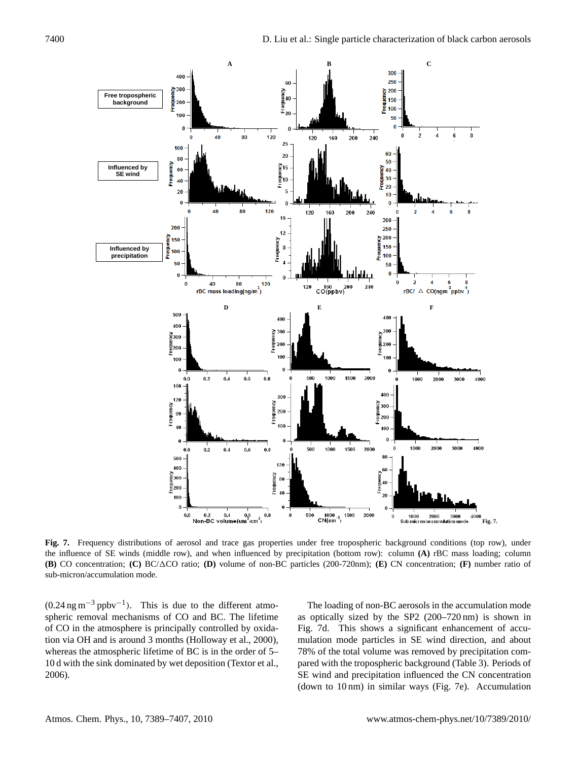

Fig. 7. Frequency distributions of aerosol and trace gas properties under free tropospheric background conditions (top row), under the influence of SE winds (middle row), and when influenced by precipitation (bottom row): column **(A)** rBC mass loading; column **(B)** CO concentration; **(C)** BC/1CO ratio; **(D)** volume of non-BC particles (200-720nm); **(E)** CN concentration; **(F)** number ratio of sub-micron/accumulation mode.

 $(0.24 \text{ ng m}^{-3} \text{ pbv}^{-1})$ . This is due to the different atmospheric removal mechanisms of CO and BC. The lifetime of CO in the atmosphere is principally controlled by oxidation via OH and is around 3 months (Holloway et al., 2000), whereas the atmospheric lifetime of BC is in the order of 5– 10 d with the sink dominated by wet deposition (Textor et al., 2006).

The loading of non-BC aerosols in the accumulation mode as optically sized by the SP2 (200–720 nm) is shown in Fig. 7d. This shows a significant enhancement of accumulation mode particles in SE wind direction, and about 78% of the total volume was removed by precipitation compared with the tropospheric background (Table 3). Periods of SE wind and precipitation influenced the CN concentration (down to 10 nm) in similar ways (Fig. 7e). Accumulation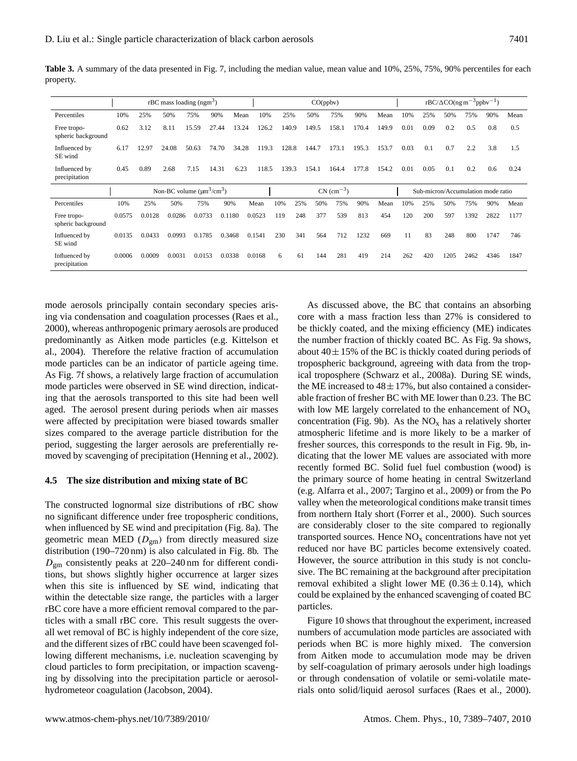| <b>Table 3.</b> A summary of the data presented in Fig. 7, including the median value, mean value and 10%, 25%, 75%, 90% percentiles for each |  |
|-----------------------------------------------------------------------------------------------------------------------------------------------|--|
| property.                                                                                                                                     |  |
|                                                                                                                                               |  |

|                                   |                                | $rBC$ mass loading (ngm <sup>3</sup> ) |        |        |       |        |        | CO(ppbv) |                |       |       |       | rBC/ $\Delta$ CO(ng m <sup>-3</sup> ppbv <sup>-1</sup> ) |      |      |      |      |      |      |
|-----------------------------------|--------------------------------|----------------------------------------|--------|--------|-------|--------|--------|----------|----------------|-------|-------|-------|----------------------------------------------------------|------|------|------|------|------|------|
| Percentiles                       | 10%                            | 25%                                    | 50%    | 75%    | 90%   | Mean   | 10%    | 25%      |                | 50%   | 75%   | 90%   | Mean                                                     | 10%  | 25%  | 50%  | 75%  | 90%  | Mean |
| Free tropo-<br>spheric background | 0.62                           | 3.12                                   | 8.11   | 15.59  | 27.44 | 13.24  | 126.2  | 140.9    |                | 149.5 | 158.1 | 170.4 | 149.9                                                    | 0.01 | 0.09 | 0.2  | 0.5  | 0.8  | 0.5  |
| Influenced by<br>SE wind          | 6.17                           | 12.97                                  | 24.08  | 50.63  | 74.70 | 34.28  | 119.3  | 128.8    |                | 144.7 | 173.1 | 195.3 | 153.7                                                    | 0.03 | 0.1  | 0.7  | 2.2  | 3.8  | 1.5  |
| Influenced by<br>precipitation    | 0.45                           | 0.89                                   | 2.68   | 7.15   | 14.31 | 6.23   | 118.5  | 139.3    |                | 154.1 | 164.4 | 177.8 | 154.2                                                    | 0.01 | 0.05 | 0.1  | 0.2  | 0.6  | 0.24 |
|                                   | Non-BC volume $(\mu m^3/cm^3)$ |                                        |        |        |       |        |        |          | $CN (cm^{-3})$ |       |       |       | Sub-micron/Accumulation mode ratio                       |      |      |      |      |      |      |
| Percentiles                       | 10%                            | 25%                                    | 50%    | 75%    |       | 90%    | Mean   | 10%      | 25%            | 50%   | 75%   | 90%   | Mean                                                     | 10%  | 25%  | 50%  | 75%  | 90%  | Mean |
| Free tropo-<br>spheric background | 0.0575                         | 0.0128                                 | 0.0286 | 0.0733 |       | 0.1180 | 0.0523 | 119      | 248            | 377   | 539   | 813   | 454                                                      | 120  | 200  | 597  | 1392 | 2822 | 1177 |
| Influenced by<br>SE wind          | 0.0135                         | 0.0433                                 | 0.0993 | 0.1785 |       | 0.3468 | 0.1541 | 230      | 341            | 564   | 712   | 1232  | 669                                                      | 11   | 83   | 248  | 800  | 1747 | 746  |
| Influenced by<br>precipitation    | 0.0006                         | 0.0009                                 | 0.0031 | 0.0153 |       | 0.0338 | 0.0168 | 6        | 61             | 144   | 281   | 419   | 214                                                      | 262  | 420  | 1205 | 2462 | 4346 | 1847 |

mode aerosols principally contain secondary species arising via condensation and coagulation processes (Raes et al., 2000), whereas anthropogenic primary aerosols are produced predominantly as Aitken mode particles (e.g. Kittelson et al., 2004). Therefore the relative fraction of accumulation mode particles can be an indicator of particle ageing time. As Fig. 7f shows, a relatively large fraction of accumulation mode particles were observed in SE wind direction, indicating that the aerosols transported to this site had been well aged. The aerosol present during periods when air masses were affected by precipitation were biased towards smaller sizes compared to the average particle distribution for the period, suggesting the larger aerosols are preferentially removed by scavenging of precipitation (Henning et al., 2002).

### **4.5 The size distribution and mixing state of BC**

The constructed lognormal size distributions of rBC show no significant difference under free tropospheric conditions, when influenced by SE wind and precipitation (Fig. 8a). The geometric mean MED  $(D_{gm})$  from directly measured size distribution (190–720 nm) is also calculated in Fig. 8b. The  $D_{\rm gm}$  consistently peaks at 220–240 nm for different conditions, but shows slightly higher occurrence at larger sizes when this site is influenced by SE wind, indicating that within the detectable size range, the particles with a larger rBC core have a more efficient removal compared to the particles with a small rBC core. This result suggests the overall wet removal of BC is highly independent of the core size, and the different sizes of rBC could have been scavenged following different mechanisms, i.e. nucleation scavenging by cloud particles to form precipitation, or impaction scavenging by dissolving into the precipitation particle or aerosolhydrometeor coagulation (Jacobson, 2004).

As discussed above, the BC that contains an absorbing core with a mass fraction less than 27% is considered to be thickly coated, and the mixing efficiency (ME) indicates the number fraction of thickly coated BC. As Fig. 9a shows, about  $40 \pm 15$ % of the BC is thickly coated during periods of tropospheric background, agreeing with data from the tropical troposphere (Schwarz et al., 2008a). During SE winds, the ME increased to  $48 \pm 17$ %, but also contained a considerable fraction of fresher BC with ME lower than 0.23. The BC with low ME largely correlated to the enhancement of  $NO<sub>x</sub>$ concentration (Fig. 9b). As the  $NO<sub>x</sub>$  has a relatively shorter atmospheric lifetime and is more likely to be a marker of fresher sources, this corresponds to the result in Fig. 9b, indicating that the lower ME values are associated with more recently formed BC. Solid fuel fuel combustion (wood) is the primary source of home heating in central Switzerland (e.g. Alfarra et al., 2007; Targino et al., 2009) or from the Po valley when the meteorological conditions make transit times from northern Italy short (Forrer et al., 2000). Such sources are considerably closer to the site compared to regionally transported sources. Hence  $NO<sub>x</sub>$  concentrations have not yet reduced nor have BC particles become extensively coated. However, the source attribution in this study is not conclusive. The BC remaining at the background after precipitation removal exhibited a slight lower ME  $(0.36 \pm 0.14)$ , which could be explained by the enhanced scavenging of coated BC particles.

Figure 10 shows that throughout the experiment, increased numbers of accumulation mode particles are associated with periods when BC is more highly mixed. The conversion from Aitken mode to accumulation mode may be driven by self-coagulation of primary aerosols under high loadings or through condensation of volatile or semi-volatile materials onto solid/liquid aerosol surfaces (Raes et al., 2000).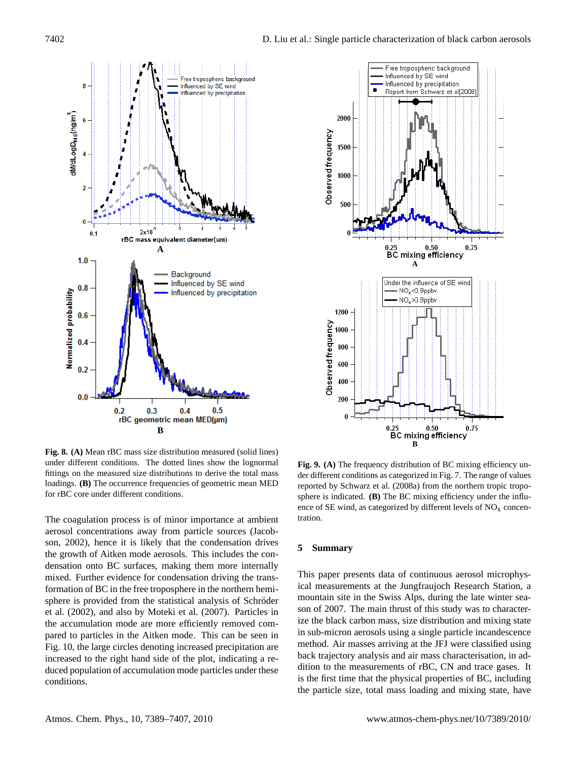



**Fig. 8. Fig. 8. (A)** Mean rBC mass size distribution measured (solid lines) under different conditions. The dotted lines show the lognormal fittings on the measured size distributions to derive the total mass loadings. **(B)** The occurrence frequencies of geometric mean MED for rBC core under different conditions.

The coagulation process is of minor importance at ambient aerosol concentrations away from particle sources (Jacobson, 2002), hence it is likely that the condensation drives the growth of Aitken mode aerosols. This includes the condensation onto BC surfaces, making them more internally mixed. Further evidence for condensation driving the transformation of BC in the free troposphere in the northern hemisphere is provided from the statistical analysis of Schröder et al. (2002), and also by Moteki et al. (2007). Particles in the accumulation mode are more efficiently removed compared to particles in the Aitken mode. This can be seen in Fig. 10, the large circles denoting increased precipitation are increased to the right hand side of the plot, indicating a reduced population of accumulation mode particles under these conditions.

**Fig. 9. Fig. 9. (A)** The frequency distribution of BC mixing efficiency under different conditions as categorized in Fig. 7. The range of values reported by Schwarz et al. (2008a) from the northern tropic troposphere is indicated. **(B)** The BC mixing efficiency under the influence of SE wind, as categorized by different levels of  $NO<sub>x</sub>$  concentration.

## **5 Summary**

This paper presents data of continuous aerosol microphysical measurements at the Jungfraujoch Research Station, a mountain site in the Swiss Alps, during the late winter season of 2007. The main thrust of this study was to characterize the black carbon mass, size distribution and mixing state in sub-micron aerosols using a single particle incandescence method. Air masses arriving at the JFJ were classified using back trajectory analysis and air mass characterisation, in addition to the measurements of rBC, CN and trace gases. It is the first time that the physical properties of BC, including the particle size, total mass loading and mixing state, have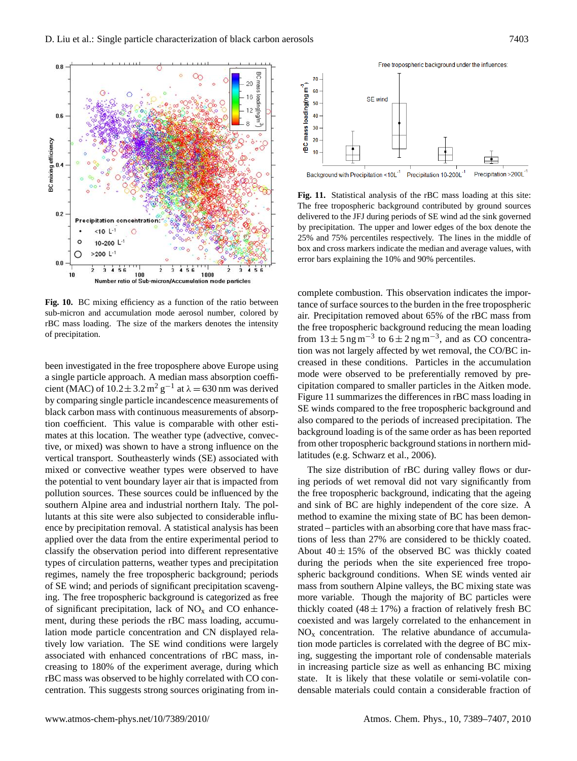

**Fig. 10.** BC mixing efficiency as a function of the ratio between sub-micron and accumulation mode aerosol number, colored by rBC mass loading. The size of the markers denotes the intensity of precipitation.

been investigated in the free troposphere above Europe using a single particle approach. A median mass absorption coefficient (MAC) of  $10.2 \pm 3.2$  m<sup>2</sup> g<sup>-1</sup> at  $\lambda = 630$  nm was derived by comparing single particle incandescence measurements of black carbon mass with continuous measurements of absorption coefficient. This value is comparable with other estimates at this location. The weather type (advective, convective, or mixed) was shown to have a strong influence on the vertical transport. Southeasterly winds (SE) associated with mixed or convective weather types were observed to have the potential to vent boundary layer air that is impacted from pollution sources. These sources could be influenced by the southern Alpine area and industrial northern Italy. The pollutants at this site were also subjected to considerable influence by precipitation removal. A statistical analysis has been applied over the data from the entire experimental period to classify the observation period into different representative types of circulation patterns, weather types and precipitation regimes, namely the free tropospheric background; periods of SE wind; and periods of significant precipitation scavenging. The free tropospheric background is categorized as free of significant precipitation, lack of  $NO<sub>x</sub>$  and CO enhancement, during these periods the rBC mass loading, accumulation mode particle concentration and CN displayed relatively low variation. The SE wind conditions were largely associated with enhanced concentrations of rBC mass, increasing to 180% of the experiment average, during which rBC mass was observed to be highly correlated with CO concentration. This suggests strong sources originating from in-



**Fig. 11. Fig. 11.** Statistical analysis of the rBC mass loading at this site: The free tropospheric background contributed by ground sources delivered to the JFJ during periods of SE wind ad the sink governed by precipitation. The upper and lower edges of the box denote the 25% and 75% percentiles respectively. The lines in the middle of box and cross markers indicate the median and average values, with error bars explaining the 10% and 90% percentiles.

complete combustion. This observation indicates the importance of surface sources to the burden in the free tropospheric air. Precipitation removed about 65% of the rBC mass from the free tropospheric background reducing the mean loading from  $13 \pm 5$  ng m<sup>-3</sup> to  $6 \pm 2$  ng m<sup>-3</sup>, and as CO concentration was not largely affected by wet removal, the CO/BC increased in these conditions. Particles in the accumulation mode were observed to be preferentially removed by precipitation compared to smaller particles in the Aitken mode. Figure 11 summarizes the differences in rBC mass loading in SE winds compared to the free tropospheric background and also compared to the periods of increased precipitation. The background loading is of the same order as has been reported from other tropospheric background stations in northern midlatitudes (e.g. Schwarz et al., 2006).

The size distribution of rBC during valley flows or during periods of wet removal did not vary significantly from the free tropospheric background, indicating that the ageing and sink of BC are highly independent of the core size. A method to examine the mixing state of BC has been demonstrated – particles with an absorbing core that have mass fractions of less than 27% are considered to be thickly coated. About  $40 \pm 15$ % of the observed BC was thickly coated during the periods when the site experienced free tropospheric background conditions. When SE winds vented air mass from southern Alpine valleys, the BC mixing state was more variable. Though the majority of BC particles were thickly coated  $(48 \pm 17\%)$  a fraction of relatively fresh BC coexisted and was largely correlated to the enhancement in  $NO<sub>x</sub>$  concentration. The relative abundance of accumulation mode particles is correlated with the degree of BC mixing, suggesting the important role of condensable materials in increasing particle size as well as enhancing BC mixing state. It is likely that these volatile or semi-volatile condensable materials could contain a considerable fraction of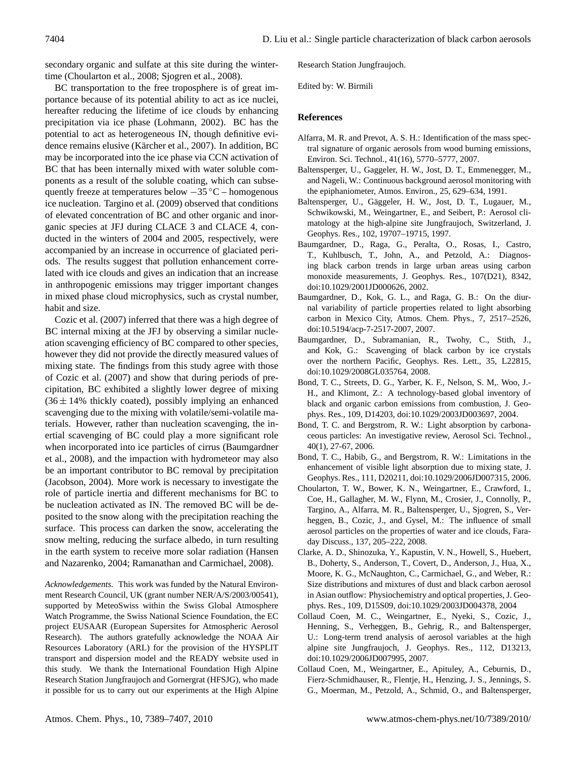secondary organic and sulfate at this site during the wintertime (Choularton et al., 2008; Sjogren et al., 2008).

BC transportation to the free troposphere is of great importance because of its potential ability to act as ice nuclei, hereafter reducing the lifetime of ice clouds by enhancing precipitation via ice phase (Lohmann, 2002). BC has the potential to act as heterogeneous IN, though definitive evidence remains elusive (Kärcher et al., 2007). In addition, BC may be incorporated into the ice phase via CCN activation of BC that has been internally mixed with water soluble components as a result of the soluble coating, which can subsequently freeze at temperatures below −35 ◦C – homogenous ice nucleation. Targino et al. (2009) observed that conditions of elevated concentration of BC and other organic and inorganic species at JFJ during CLACE 3 and CLACE 4, conducted in the winters of 2004 and 2005, respectively, were accompanied by an increase in occurrence of glaciated periods. The results suggest that pollution enhancement correlated with ice clouds and gives an indication that an increase in anthropogenic emissions may trigger important changes in mixed phase cloud microphysics, such as crystal number, habit and size.

Cozic et al. (2007) inferred that there was a high degree of BC internal mixing at the JFJ by observing a similar nucleation scavenging efficiency of BC compared to other species, however they did not provide the directly measured values of mixing state. The findings from this study agree with those of Cozic et al. (2007) and show that during periods of precipitation, BC exhibited a slightly lower degree of mixing  $(36 \pm 14\%)$  thickly coated), possibly implying an enhanced scavenging due to the mixing with volatile/semi-volatile materials. However, rather than nucleation scavenging, the inertial scavenging of BC could play a more significant role when incorporated into ice particles of cirrus (Baumgardner et al., 2008), and the impaction with hydrometeor may also be an important contributor to BC removal by precipitation (Jacobson, 2004). More work is necessary to investigate the role of particle inertia and different mechanisms for BC to be nucleation activated as IN. The removed BC will be deposited to the snow along with the precipitation reaching the surface. This process can darken the snow, accelerating the snow melting, reducing the surface albedo, in turn resulting in the earth system to receive more solar radiation (Hansen and Nazarenko, 2004; Ramanathan and Carmichael, 2008).

*Acknowledgements.* This work was funded by the Natural Environment Research Council, UK (grant number NER/A/S/2003/00541), supported by MeteoSwiss within the Swiss Global Atmosphere Watch Programme, the Swiss National Science Foundation, the EC project EUSAAR (European Supersites for Atmospheric Aerosol Research). The authors gratefully acknowledge the NOAA Air Resources Laboratory (ARL) for the provision of the HYSPLIT transport and dispersion model and the READY website used in this study. We thank the International Foundation High Alpine Research Station Jungfraujoch and Gornergrat (HFSJG), who made it possible for us to carry out our experiments at the High Alpine Research Station Jungfraujoch.

Edited by: W. Birmili

## **References**

- Alfarra, M. R. and Prevot, A. S. H.: Identification of the mass spectral signature of organic aerosols from wood burning emissions, Environ. Sci. Technol., 41(16), 5770–5777, 2007.
- Baltensperger, U., Gaggeler, H. W., Jost, D. T., Emmenegger, M., and Nageli, W.: Continuous background aerosol monitoring with the epiphaniometer, Atmos. Environ., 25, 629–634, 1991.
- Baltensperger, U., Gäggeler, H. W., Jost, D. T., Lugauer, M., Schwikowski, M., Weingartner, E., and Seibert, P.: Aerosol climatology at the high-alpine site Jungfraujoch, Switzerland, J. Geophys. Res., 102, 19707–19715, 1997.
- Baumgardner, D., Raga, G., Peralta, O., Rosas, I., Castro, T., Kuhlbusch, T., John, A., and Petzold, A.: Diagnosing black carbon trends in large urban areas using carbon monoxide measurements, J. Geophys. Res., 107(D21), 8342, doi:10.1029/2001JD000626, 2002.
- Baumgardner, D., Kok, G. L., and Raga, G. B.: On the diurnal variability of particle properties related to light absorbing carbon in Mexico City, Atmos. Chem. Phys., 7, 2517–2526, doi:10.5194/acp-7-2517-2007, 2007.
- Baumgardner, D., Subramanian, R., Twohy, C., Stith, J., and Kok, G.: Scavenging of black carbon by ice crystals over the northern Pacific, Geophys. Res. Lett., 35, L22815, doi:10.1029/2008GL035764, 2008.
- Bond, T. C., Streets, D. G., Yarber, K. F., Nelson, S. M,. Woo, J.- H., and Klimont, Z.: A technology-based global inventory of black and organic carbon emissions from combustion, J. Geophys. Res., 109, D14203, doi:10.1029/2003JD003697, 2004.
- Bond, T. C. and Bergstrom, R. W.: Light absorption by carbonaceous particles: An investigative review, Aerosol Sci. Technol., 40(1), 27-67, 2006.
- Bond, T. C., Habib, G., and Bergstrom, R. W.: Limitations in the enhancement of visible light absorption due to mixing state, J. Geophys. Res., 111, D20211, doi:10.1029/2006JD007315, 2006.
- Choularton, T. W., Bower, K. N., Weingartner, E., Crawford, I., Coe, H., Gallagher, M. W., Flynn, M., Crosier, J., Connolly, P., Targino, A., Alfarra, M. R., Baltensperger, U., Sjogren, S., Verheggen, B., Cozic, J., and Gysel, M.: The influence of small aerosol particles on the properties of water and ice clouds, Faraday Discuss., 137, 205–222, 2008.
- Clarke, A. D., Shinozuka, Y., Kapustin, V. N., Howell, S., Huebert, B., Doherty, S., Anderson, T., Covert, D., Anderson, J., Hua, X., Moore, K. G., McNaughton, C., Carmichael, G., and Weber, R.: Size distributions and mixtures of dust and black carbon aerosol in Asian outflow: Physiochemistry and optical properties, J. Geophys. Res., 109, D15S09, doi:10.1029/2003JD004378, 2004
- Collaud Coen, M. C., Weingartner, E., Nyeki, S., Cozic, J., Henning, S., Verheggen, B., Gehrig, R., and Baltensperger, U.: Long-term trend analysis of aerosol variables at the high alpine site Jungfraujoch, J. Geophys. Res., 112, D13213, doi:10.1029/2006JD007995, 2007.
- Collaud Coen, M., Weingartner, E., Apituley, A., Ceburnis, D., Fierz-Schmidhauser, R., Flentje, H., Henzing, J. S., Jennings, S. G., Moerman, M., Petzold, A., Schmid, O., and Baltensperger,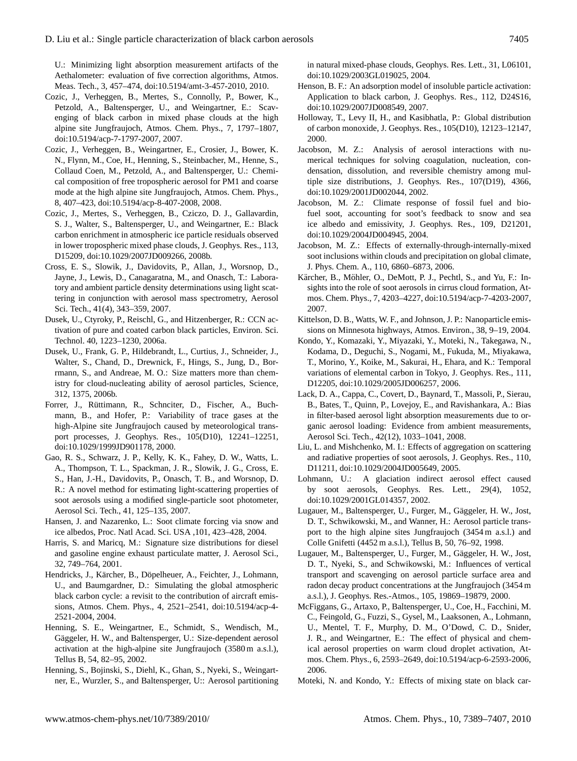U.: Minimizing light absorption measurement artifacts of the Aethalometer: evaluation of five correction algorithms, Atmos. Meas. Tech., 3, 457–474, doi:10.5194/amt-3-457-2010, 2010.

- Cozic, J., Verheggen, B., Mertes, S., Connolly, P., Bower, K., Petzold, A., Baltensperger, U., and Weingartner, E.: Scavenging of black carbon in mixed phase clouds at the high alpine site Jungfraujoch, Atmos. Chem. Phys., 7, 1797–1807, doi:10.5194/acp-7-1797-2007, 2007.
- Cozic, J., Verheggen, B., Weingartner, E., Crosier, J., Bower, K. N., Flynn, M., Coe, H., Henning, S., Steinbacher, M., Henne, S., Collaud Coen, M., Petzold, A., and Baltensperger, U.: Chemical composition of free tropospheric aerosol for PM1 and coarse mode at the high alpine site Jungfraujoch, Atmos. Chem. Phys., 8, 407–423, doi:10.5194/acp-8-407-2008, 2008.
- Cozic, J., Mertes, S., Verheggen, B., Cziczo, D. J., Gallavardin, S. J., Walter, S., Baltensperger, U., and Weingartner, E.: Black carbon enrichment in atmospheric ice particle residuals observed in lower tropospheric mixed phase clouds, J. Geophys. Res., 113, D15209, doi:10.1029/2007JD009266, 2008b.
- Cross, E. S., Slowik, J., Davidovits, P., Allan, J., Worsnop, D., Jayne, J., Lewis, D., Canagaratna, M., and Onasch, T.: Laboratory and ambient particle density determinations using light scattering in conjunction with aerosol mass spectrometry, Aerosol Sci. Tech., 41(4), 343–359, 2007.
- Dusek, U., Ctyroky, P., Reischl, G., and Hitzenberger, R.: CCN activation of pure and coated carbon black particles, Environ. Sci. Technol. 40, 1223–1230, 2006a.
- Dusek, U., Frank, G. P., Hildebrandt, L., Curtius, J., Schneider, J., Walter, S., Chand, D., Drewnick, F., Hings, S., Jung, D., Borrmann, S., and Andreae, M. O.: Size matters more than chemistry for cloud-nucleating ability of aerosol particles, Science, 312, 1375, 2006b.
- Forrer, J., Rüttimann, R., Schnciter, D., Fischer, A., Buchmann, B., and Hofer, P.: Variability of trace gases at the high-Alpine site Jungfraujoch caused by meteorological transport processes, J. Geophys. Res., 105(D10), 12241–12251, doi:10.1029/1999JD901178, 2000.
- Gao, R. S., Schwarz, J. P., Kelly, K. K., Fahey, D. W., Watts, L. A., Thompson, T. L., Spackman, J. R., Slowik, J. G., Cross, E. S., Han, J.-H., Davidovits, P., Onasch, T. B., and Worsnop, D. R.: A novel method for estimating light-scattering properties of soot aerosols using a modified single-particle soot photometer, Aerosol Sci. Tech., 41, 125–135, 2007.
- Hansen, J. and Nazarenko, L.: Soot climate forcing via snow and ice albedos, Proc. Natl Acad. Sci. USA ,101, 423–428, 2004.
- Harris, S. and Maricq, M.: Signature size distributions for diesel and gasoline engine exhaust particulate matter, J. Aerosol Sci., 32, 749–764, 2001.
- Hendricks, J., Kärcher, B., Döpelheuer, A., Feichter, J., Lohmann, U., and Baumgardner, D.: Simulating the global atmospheric black carbon cycle: a revisit to the contribution of aircraft emissions, Atmos. Chem. Phys., 4, 2521–2541, doi:10.5194/acp-4- 2521-2004, 2004.
- Henning, S. E., Weingartner, E., Schmidt, S., Wendisch, M., Gäggeler, H. W., and Baltensperger, U.: Size-dependent aerosol activation at the high-alpine site Jungfraujoch (3580 m a.s.l.), Tellus B, 54, 82–95, 2002.
- Henning, S., Bojinski, S., Diehl, K., Ghan, S., Nyeki, S., Weingartner, E., Wurzler, S., and Baltensperger, U:: Aerosol partitioning

in natural mixed-phase clouds, Geophys. Res. Lett., 31, L06101, doi:10.1029/2003GL019025, 2004.

- Henson, B. F.: An adsorption model of insoluble particle activation: Application to black carbon, J. Geophys. Res., 112, D24S16, doi:10.1029/2007JD008549, 2007.
- Holloway, T., Levy II, H., and Kasibhatla, P.: Global distribution of carbon monoxide, J. Geophys. Res., 105(D10), 12123–12147, 2000.
- Jacobson, M. Z.: Analysis of aerosol interactions with numerical techniques for solving coagulation, nucleation, condensation, dissolution, and reversible chemistry among multiple size distributions, J. Geophys. Res., 107(D19), 4366, doi:10.1029/2001JD002044, 2002.
- Jacobson, M. Z.: Climate response of fossil fuel and biofuel soot, accounting for soot's feedback to snow and sea ice albedo and emissivity, J. Geophys. Res., 109, D21201, doi:10.1029/2004JD004945, 2004.
- Jacobson, M. Z.: Effects of externally-through-internally-mixed soot inclusions within clouds and precipitation on global climate, J. Phys. Chem. A., 110, 6860–6873, 2006.
- Kärcher, B., Möhler, O., DeMott, P. J., Pechtl, S., and Yu, F.: Insights into the role of soot aerosols in cirrus cloud formation, Atmos. Chem. Phys., 7, 4203–4227, doi:10.5194/acp-7-4203-2007, 2007.
- Kittelson, D. B., Watts, W. F., and Johnson, J. P.: Nanoparticle emissions on Minnesota highways, Atmos. Environ., 38, 9–19, 2004.
- Kondo, Y., Komazaki, Y., Miyazaki, Y., Moteki, N., Takegawa, N., Kodama, D., Deguchi, S., Nogami, M., Fukuda, M., Miyakawa, T., Morino, Y., Koike, M., Sakurai, H., Ehara, and K.: Temporal variations of elemental carbon in Tokyo, J. Geophys. Res., 111, D12205, doi:10.1029/2005JD006257, 2006.
- Lack, D. A., Cappa, C., Covert, D., Baynard, T., Massoli, P., Sierau, B., Bates, T., Quinn, P., Lovejoy, E., and Ravishankara, A.: Bias in filter-based aerosol light absorption measurements due to organic aerosol loading: Evidence from ambient measurements, Aerosol Sci. Tech., 42(12), 1033–1041, 2008.
- Liu, L. and Mishchenko, M. I.: Effects of aggregation on scattering and radiative properties of soot aerosols, J. Geophys. Res., 110, D11211, doi:10.1029/2004JD005649, 2005.
- Lohmann, U.: A glaciation indirect aerosol effect caused by soot aerosols, Geophys. Res. Lett., 29(4), 1052, doi:10.1029/2001GL014357, 2002.
- Lugauer, M., Baltensperger, U., Furger, M., Gäggeler, H. W., Jost, D. T., Schwikowski, M., and Wanner, H.: Aerosol particle transport to the high alpine sites Jungfraujoch (3454 m a.s.l.) and Colle Gnifetti (4452 m a.s.l.), Tellus B, 50, 76–92, 1998.
- Lugauer, M., Baltensperger, U., Furger, M., Gäggeler, H. W., Jost, D. T., Nyeki, S., and Schwikowski, M.: Influences of vertical transport and scavenging on aerosol particle surface area and radon decay product concentrations at the Jungfraujoch (3454 m a.s.l.), J. Geophys. Res.-Atmos., 105, 19869–19879, 2000.
- McFiggans, G., Artaxo, P., Baltensperger, U., Coe, H., Facchini, M. C., Feingold, G., Fuzzi, S., Gysel, M., Laaksonen, A., Lohmann, U., Mentel, T. F., Murphy, D. M., O'Dowd, C. D., Snider, J. R., and Weingartner, E.: The effect of physical and chemical aerosol properties on warm cloud droplet activation, Atmos. Chem. Phys., 6, 2593–2649, doi:10.5194/acp-6-2593-2006, 2006.
- Moteki, N. and Kondo, Y.: Effects of mixing state on black car-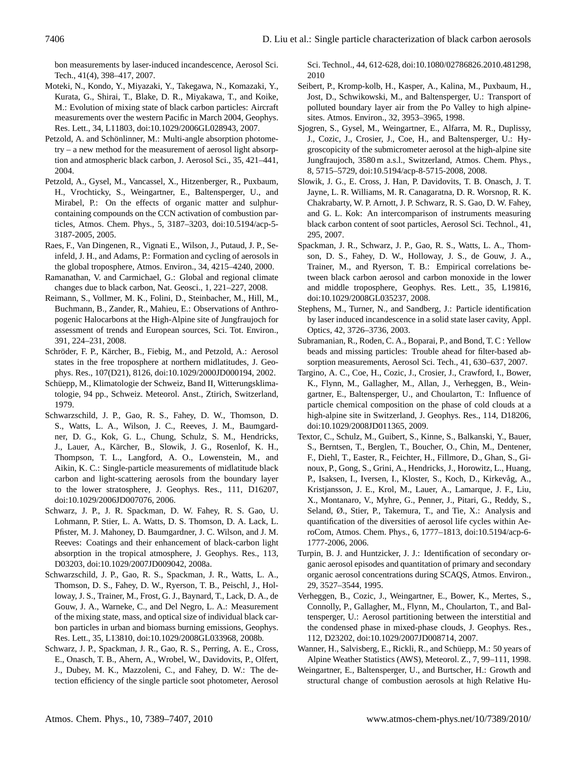bon measurements by laser-induced incandescence, Aerosol Sci. Tech., 41(4), 398–417, 2007.

- Moteki, N., Kondo, Y., Miyazaki, Y., Takegawa, N., Komazaki, Y., Kurata, G., Shirai, T., Blake, D. R., Miyakawa, T., and Koike, M.: Evolution of mixing state of black carbon particles: Aircraft measurements over the western Pacific in March 2004, Geophys. Res. Lett., 34, L11803, doi:10.1029/2006GL028943, 2007.
- Petzold, A. and Schönlinner, M.: Multi-angle absorption photometry – a new method for the measurement of aerosol light absorption and atmospheric black carbon, J. Aerosol Sci., 35, 421–441, 2004.
- Petzold, A., Gysel, M., Vancassel, X., Hitzenberger, R., Puxbaum, H., Vrochticky, S., Weingartner, E., Baltensperger, U., and Mirabel, P.: On the effects of organic matter and sulphurcontaining compounds on the CCN activation of combustion particles, Atmos. Chem. Phys., 5, 3187–3203, doi:10.5194/acp-5- 3187-2005, 2005.
- Raes, F., Van Dingenen, R., Vignati E., Wilson, J., Putaud, J. P., Seinfeld, J. H., and Adams, P.: Formation and cycling of aerosols in the global troposphere, Atmos. Environ., 34, 4215–4240, 2000.
- Ramanathan, V. and Carmichael, G.: Global and regional climate changes due to black carbon, Nat. Geosci., 1, 221–227, 2008.
- Reimann, S., Vollmer, M. K., Folini, D., Steinbacher, M., Hill, M., Buchmann, B., Zander, R., Mahieu, E.: Observations of Anthropogenic Halocarbons at the High-Alpine site of Jungfraujoch for assessment of trends and European sources, Sci. Tot. Environ., 391, 224–231, 2008.
- Schröder, F. P., Kärcher, B., Fiebig, M., and Petzold, A.: Aerosol states in the free troposphere at northern midlatitudes, J. Geophys. Res., 107(D21), 8126, doi:10.1029/2000JD000194, 2002.
- Schüepp, M., Klimatologie der Schweiz, Band II, Witterungsklimatologie, 94 pp., Schweiz. Meteorol. Anst., Ztirich, Switzerland, 1979.
- Schwarzschild, J. P., Gao, R. S., Fahey, D. W., Thomson, D. S., Watts, L. A., Wilson, J. C., Reeves, J. M., Baumgardner, D. G., Kok, G. L., Chung, Schulz, S. M., Hendricks, J., Lauer, A., Kärcher, B., Slowik, J. G., Rosenlof, K. H., Thompson, T. L., Langford, A. O., Lowenstein, M., and Aikin, K. C.: Single-particle measurements of midlatitude black carbon and light-scattering aerosols from the boundary layer to the lower stratosphere, J. Geophys. Res., 111, D16207, doi:10.1029/2006JD007076, 2006.
- Schwarz, J. P., J. R. Spackman, D. W. Fahey, R. S. Gao, U. Lohmann, P. Stier, L. A. Watts, D. S. Thomson, D. A. Lack, L. Pfister, M. J. Mahoney, D. Baumgardner, J. C. Wilson, and J. M. Reeves: Coatings and their enhancement of black-carbon light absorption in the tropical atmosphere, J. Geophys. Res., 113, D03203, doi:10.1029/2007JD009042, 2008a.
- Schwarzschild, J. P., Gao, R. S., Spackman, J. R., Watts, L. A., Thomson, D. S., Fahey, D. W., Ryerson, T. B., Peischl, J., Holloway, J. S., Trainer, M., Frost, G. J., Baynard, T., Lack, D. A., de Gouw, J. A., Warneke, C., and Del Negro, L. A.: Measurement of the mixing state, mass, and optical size of individual black carbon particles in urban and biomass burning emissions, Geophys. Res. Lett., 35, L13810, doi:10.1029/2008GL033968, 2008b.
- Schwarz, J. P., Spackman, J. R., Gao, R. S., Perring, A. E., Cross, E., Onasch, T. B., Ahern, A., Wrobel, W., Davidovits, P., Olfert, J., Dubey, M. K., Mazzoleni, C., and Fahey, D. W.: The detection efficiency of the single particle soot photometer, Aerosol

Sci. Technol., 44, 612-628, doi:10.1080/02786826.2010.481298, 2010

- Seibert, P., Kromp-kolb, H., Kasper, A., Kalina, M., Puxbaum, H., Jost, D., Schwikowski, M., and Baltensperger, U.: Transport of polluted boundary layer air from the Po Valley to high alpinesites. Atmos. Environ., 32, 3953–3965, 1998.
- Sjogren, S., Gysel, M., Weingartner, E., Alfarra, M. R., Duplissy, J., Cozic, J., Crosier, J., Coe, H., and Baltensperger, U.: Hygroscopicity of the submicrometer aerosol at the high-alpine site Jungfraujoch, 3580 m a.s.l., Switzerland, Atmos. Chem. Phys., 8, 5715–5729, doi:10.5194/acp-8-5715-2008, 2008.
- Slowik, J. G., E. Cross, J. Han, P. Davidovits, T. B. Onasch, J. T. Jayne, L. R. Williams, M. R. Canagaratna, D. R. Worsnop, R. K. Chakrabarty, W. P. Arnott, J. P. Schwarz, R. S. Gao, D. W. Fahey, and G. L. Kok: An intercomparison of instruments measuring black carbon content of soot particles, Aerosol Sci. Technol., 41, 295, 2007.
- Spackman, J. R., Schwarz, J. P., Gao, R. S., Watts, L. A., Thomson, D. S., Fahey, D. W., Holloway, J. S., de Gouw, J. A., Trainer, M., and Ryerson, T. B.: Empirical correlations between black carbon aerosol and carbon monoxide in the lower and middle troposphere, Geophys. Res. Lett., 35, L19816, doi:10.1029/2008GL035237, 2008.
- Stephens, M., Turner, N., and Sandberg, J.: Particle identification by laser induced incandescence in a solid state laser cavity, Appl. Optics, 42, 3726–3736, 2003.
- Subramanian, R., Roden, C. A., Boparai, P., and Bond, T. C : Yellow beads and missing particles: Trouble ahead for filter-based absorption measurements, Aerosol Sci. Tech., 41, 630–637, 2007.
- Targino, A. C., Coe, H., Cozic, J., Crosier, J., Crawford, I., Bower, K., Flynn, M., Gallagher, M., Allan, J., Verheggen, B., Weingartner, E., Baltensperger, U., and Choularton, T.: Influence of particle chemical composition on the phase of cold clouds at a high-alpine site in Switzerland, J. Geophys. Res., 114, D18206, doi:10.1029/2008JD011365, 2009.
- Textor, C., Schulz, M., Guibert, S., Kinne, S., Balkanski, Y., Bauer, S., Berntsen, T., Berglen, T., Boucher, O., Chin, M., Dentener, F., Diehl, T., Easter, R., Feichter, H., Fillmore, D., Ghan, S., Ginoux, P., Gong, S., Grini, A., Hendricks, J., Horowitz, L., Huang, P., Isaksen, I., Iversen, I., Kloster, S., Koch, D., Kirkevåg, A., Kristjansson, J. E., Krol, M., Lauer, A., Lamarque, J. F., Liu, X., Montanaro, V., Myhre, G., Penner, J., Pitari, G., Reddy, S., Seland, Ø., Stier, P., Takemura, T., and Tie, X.: Analysis and quantification of the diversities of aerosol life cycles within AeroCom, Atmos. Chem. Phys., 6, 1777–1813, doi:10.5194/acp-6- 1777-2006, 2006.
- Turpin, B. J. and Huntzicker, J. J.: Identification of secondary organic aerosol episodes and quantitation of primary and secondary organic aerosol concentrations during SCAQS, Atmos. Environ., 29, 3527–3544, 1995.
- Verheggen, B., Cozic, J., Weingartner, E., Bower, K., Mertes, S., Connolly, P., Gallagher, M., Flynn, M., Choularton, T., and Baltensperger, U.: Aerosol partitioning between the interstitial and the condensed phase in mixed-phase clouds, J. Geophys. Res., 112, D23202, doi:10.1029/2007JD008714, 2007.
- Wanner, H., Salvisberg, E., Rickli, R., and Schüepp, M.: 50 years of Alpine Weather Statistics (AWS), Meteorol. Z., 7, 99–111, 1998.
- Weingartner, E., Baltensperger, U., and Burtscher, H.: Growth and structural change of combustion aerosols at high Relative Hu-